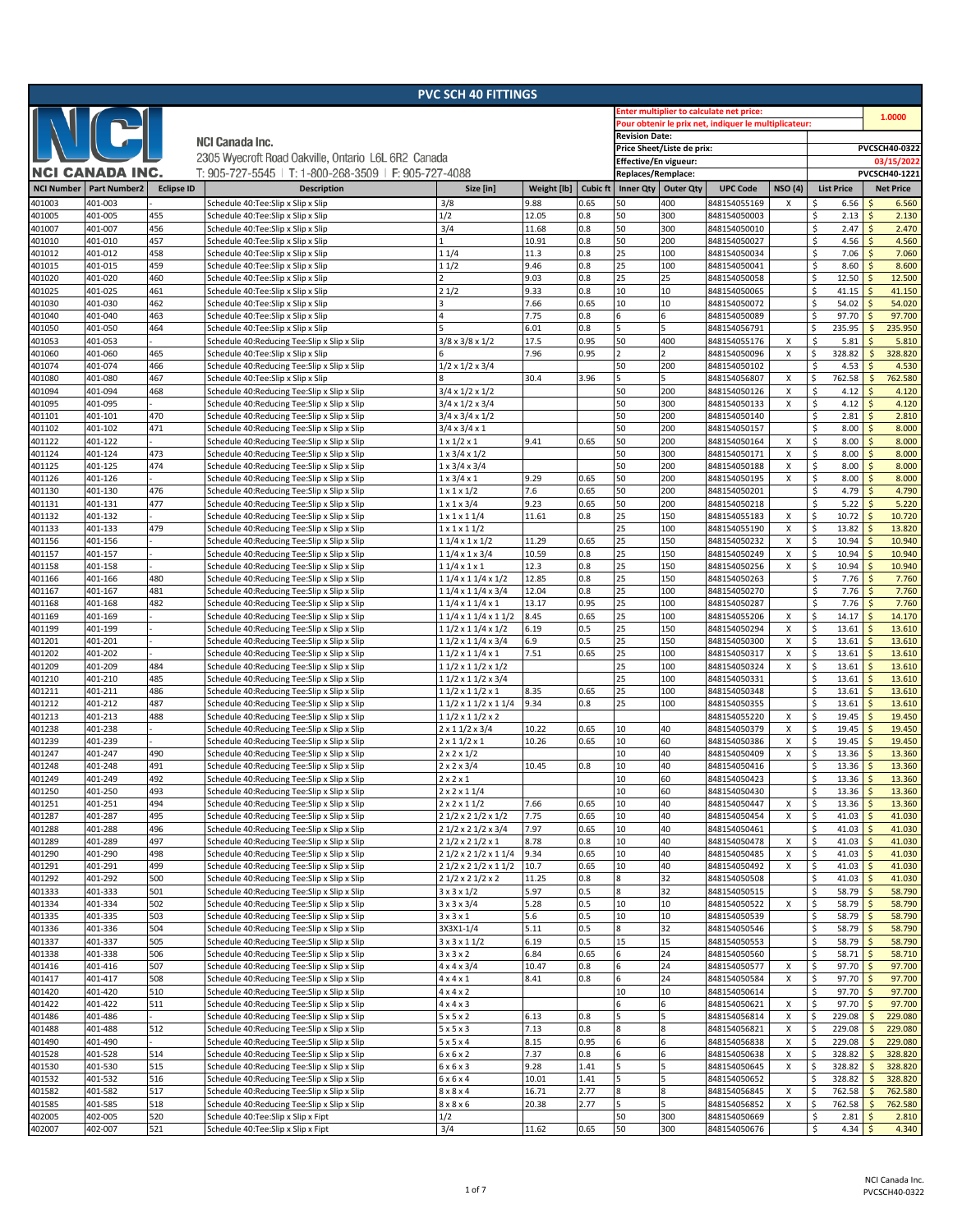| <b>PVC SCH 40 FITTINGS</b> |                     |                   |                                                                                            |                                      |                |                 |                                                       |                            |                              |                |                                 |                                    |
|----------------------------|---------------------|-------------------|--------------------------------------------------------------------------------------------|--------------------------------------|----------------|-----------------|-------------------------------------------------------|----------------------------|------------------------------|----------------|---------------------------------|------------------------------------|
|                            |                     |                   |                                                                                            |                                      |                |                 | <b>Enter multiplier to calculate net price:</b>       |                            |                              |                |                                 |                                    |
|                            |                     |                   |                                                                                            |                                      |                |                 | Pour obtenir le prix net, indiquer le multiplicateur: | 1.0000                     |                              |                |                                 |                                    |
|                            |                     |                   |                                                                                            | <b>Revision Date:</b>                |                |                 |                                                       |                            |                              |                |                                 |                                    |
|                            |                     |                   | <b>NCI Canada Inc.</b>                                                                     |                                      |                |                 |                                                       | Price Sheet/Liste de prix: |                              |                |                                 | PVCSCH40-0322                      |
|                            |                     |                   | 2305 Wyecroft Road Oakville, Ontario L6L 6R2 Canada                                        |                                      |                |                 | Effective/En vigueur:                                 |                            |                              |                |                                 | 03/15/2022                         |
|                            | NCI CANADA INC.     |                   | T: 905-727-5545   T: 1-800-268-3509   F: 905-727-4088                                      |                                      |                |                 | Replaces/Remplace:                                    |                            |                              |                |                                 | PVCSCH40-1221                      |
| <b>NCI Number</b>          | <b>Part Number2</b> | <b>Eclipse ID</b> | <b>Description</b>                                                                         | Size [in]                            | Weight [lb]    | <b>Cubic ft</b> | <b>Inner Qty</b>                                      | <b>Outer Qty</b>           | <b>UPC Code</b>              | <b>NSO (4)</b> | <b>List Price</b>               | <b>Net Price</b>                   |
| 401003                     | 401-003             |                   | Schedule 40:Tee:Slip x Slip x Slip                                                         | 3/8                                  | 9.88           | 0.65            | 50                                                    | 400                        | 848154055169                 | х              | 6.56<br>\$                      | 6.560                              |
| 401005                     | 401-005             | 455               | Schedule 40:Tee:Slip x Slip x Slip                                                         | 1/2                                  | 12.05          | 0.8             | 50                                                    | 300                        | 848154050003                 |                | \$<br>2.13                      | 2.130<br><sub>S</sub>              |
| 401007                     | 401-007             | 456               | Schedule 40:Tee:Slip x Slip x Slip                                                         | 3/4                                  | 11.68          | 0.8             | 50                                                    | 300                        | 848154050010                 |                | \$<br>2.47                      | 2.470<br>Ś                         |
| 401010                     | 401-010             | 457               | Schedule 40:Tee:Slip x Slip x Slip                                                         |                                      | 10.91          | 0.8             | 50                                                    | 200                        | 848154050027                 |                | \$<br>4.56                      | Ś<br>4.560                         |
| 401012                     | 401-012             | 458               | Schedule 40:Tee:Slip x Slip x Slip                                                         | 11/4                                 | 11.3           | 0.8             | 25                                                    | 100                        | 848154050034                 |                | \$<br>7.06                      | S.<br>7.060                        |
| 401015                     | 401-015             | 459               | Schedule 40:Tee:Slip x Slip x Slip                                                         | 11/2                                 | 9.46           | 0.8             | 25                                                    | 100                        | 848154050041                 |                | \$<br>8.60                      | 8.600<br>Ś                         |
| 401020                     | 401-020             | 460               | Schedule 40:Tee:Slip x Slip x Slip                                                         |                                      | 9.03           | 0.8             | 25                                                    | 25                         | 848154050058                 |                | 12.50<br>\$                     | 12.500<br>Ś                        |
| 401025                     | 401-025             | 461               | Schedule 40:Tee:Slip x Slip x Slip                                                         | 21/2                                 | 9.33           | 0.8             | 10                                                    | 10                         | 848154050065                 |                | \$<br>41.15                     | 41.150<br>.S                       |
| 401030                     | 401-030             | 462               | Schedule 40:Tee:Slip x Slip x Slip                                                         |                                      | 7.66           | 0.65            | 10                                                    | 10                         | 848154050072                 |                | \$<br>54.02                     | 54.020<br>Ś                        |
| 401040                     | 401-040             | 463               | Schedule 40:Tee:Slip x Slip x Slip                                                         |                                      | 7.75           | 0.8             | 6                                                     | 6                          | 848154050089                 |                | \$<br>97.70                     | 97.700<br>Ś                        |
| 401050                     | 401-050             | 464               | Schedule 40:Tee:Slip x Slip x Slip                                                         |                                      | 6.01           | 0.8             | 5                                                     | 5                          | 848154056791                 |                | 235.95<br>\$                    | 235.950<br><b>S</b>                |
| 401053                     | 401-053             |                   | Schedule 40:Reducing Tee:Slip x Slip x Slip                                                | $3/8 \times 3/8 \times 1/2$          | 17.5           | 0.95            | 50                                                    | 400                        | 848154055176                 | х              | \$<br>5.81                      | 5.810                              |
| 401060                     | 401-060             | 465               | Schedule 40:Tee:Slip x Slip x Slip                                                         |                                      | 7.96           | 0.95            |                                                       |                            | 848154050096                 | X              | \$<br>328.82                    | $\mathsf{\hat{S}}$<br>328.820      |
| 401074                     | 401-074             | 466               | Schedule 40:Reducing Tee:Slip x Slip x Slip                                                | $1/2 \times 1/2 \times 3/4$          |                |                 | 50                                                    | 200                        | 848154050102                 |                | 4.53<br>\$                      | 4.530<br>Ś                         |
| 401080                     | 401-080             | 467               | Schedule 40:Tee:Slip x Slip x Slip                                                         |                                      | 30.4           | 3.96            | 5                                                     | 5                          | 848154056807                 | х              | \$<br>762.58                    | 762.580                            |
| 401094                     | 401-094             | 468               | Schedule 40:Reducing Tee:Slip x Slip x Slip                                                | $3/4 \times 1/2 \times 1/2$          |                |                 | 50                                                    | 200                        | 848154050126                 | X              | \$<br>4.12                      | <sub>S</sub><br>4.120              |
| 401095                     | 401-095             |                   | Schedule 40:Reducing Tee:Slip x Slip x Slip                                                | $3/4 \times 1/2 \times 3/4$          |                |                 | 50                                                    | 300                        | 848154050133                 | X              | \$<br>4.12                      | 4.120<br><sub>S</sub>              |
| 401101                     | 401-101             | 470               | Schedule 40:Reducing Tee:Slip x Slip x Slip                                                | $3/4 \times 3/4 \times 1/2$          |                |                 | 50                                                    | 200                        | 848154050140                 |                | \$<br>2.81                      | 2.810<br>Ś                         |
| 401102                     | 401-102             | 471               | Schedule 40:Reducing Tee:Slip x Slip x Slip                                                | $3/4 \times 3/4 \times 1$            |                |                 | 50                                                    | 200                        | 848154050157                 |                | \$<br>8.00                      | <sub>S</sub><br>8.000              |
| 401122                     | 401-122             |                   | Schedule 40:Reducing Tee:Slip x Slip x Slip                                                | $1 \times 1/2 \times 1$              | 9.41           | 0.65            | 50                                                    | 200                        | 848154050164                 | X              | \$<br>8.00                      | <sub>S</sub><br>8.000              |
| 401124                     | 401-124             | 473               | Schedule 40:Reducing Tee:Slip x Slip x Slip                                                | $1 \times 3/4 \times 1/2$            |                |                 | 50                                                    | 300                        | 848154050171                 | X              | \$<br>8.00                      | 8.000<br>Ś                         |
| 401125                     | 401-125             | 474               | Schedule 40:Reducing Tee:Slip x Slip x Slip                                                | $1 \times 3/4 \times 3/4$            |                |                 | 50                                                    | 200                        | 848154050188                 | x              | \$<br>8.00                      | 8.000<br>Ŝ                         |
| 401126                     | 401-126             |                   | Schedule 40:Reducing Tee:Slip x Slip x Slip                                                | $1 \times 3/4 \times 1$              | 9.29           | 0.65            | 50                                                    | 200                        | 848154050195                 | x              | \$<br>8.00                      | 8.000<br>Ś                         |
| 401130                     | 401-130             | 476               | Schedule 40:Reducing Tee:Slip x Slip x Slip                                                | $1 \times 1 \times 1/2$              | 7.6            | 0.65            | 50                                                    | 200                        | 848154050201                 |                | \$<br>4.79                      | 4.790<br>Ś                         |
| 401131                     | 401-131             | 477               | Schedule 40:Reducing Tee:Slip x Slip x Slip                                                | $1 \times 1 \times 3/4$              | 9.23           | 0.65            | 50                                                    | 200                        | 848154050218                 |                | \$<br>5.22                      | 5.220<br>Ŝ                         |
| 401132                     | 401-132             |                   | Schedule 40:Reducing Tee:Slip x Slip x Slip                                                | $1 \times 1 \times 11/4$             | 11.61          | 0.8             | 25                                                    | 150                        | 848154055183                 | x              | \$<br>10.72                     | 10.720<br>Ś                        |
| 401133                     | 401-133             | 479               | Schedule 40:Reducing Tee:Slip x Slip x Slip                                                | $1 \times 1 \times 11/2$             |                |                 | 25                                                    | 100                        | 848154055190                 | X              | $\mathsf{S}$<br>13.82           | 13.820                             |
| 401156                     | 401-156             |                   | Schedule 40:Reducing Tee:Slip x Slip x Slip                                                | 11/4 x 1 x 1/2                       | 11.29          | 0.65            | 25                                                    | 150                        | 848154050232                 | x              | \$<br>10.94                     | 10.940<br>Ŝ                        |
| 401157                     | 401-157             |                   | Schedule 40:Reducing Tee:Slip x Slip x Slip                                                | $11/4 \times 1 \times 3/4$           | 10.59          | 0.8             | 25                                                    | 150                        | 848154050249                 | X              | \$<br>10.94                     | 10.940                             |
| 401158                     | 401-158             |                   | Schedule 40:Reducing Tee:Slip x Slip x Slip                                                | 11/4 x 1 x 1                         | 12.3           | 0.8             | 25                                                    | 150                        | 848154050256                 | X              | \$<br>10.94                     | 10.940<br>Ŝ                        |
| 401166<br>401167           | 401-166             | 480<br>481        | Schedule 40:Reducing Tee:Slip x Slip x Slip                                                | 1 1/4 x 1 1/4 x 1/2                  | 12.85<br>12.04 | 0.8<br>0.8      | 25<br>25                                              | 150<br>100                 | 848154050263                 |                | \$<br>7.76<br>\$<br>7.76        | 7.760<br>Ŝ<br>7.760                |
| 401168                     | 401-167<br>401-168  | 482               | Schedule 40:Reducing Tee:Slip x Slip x Slip<br>Schedule 40:Reducing Tee:Slip x Slip x Slip | 11/4 x 11/4 x 3/4<br>11/4 x 11/4 x 1 | 13.17          | 0.95            | 25                                                    | 100                        | 848154050270<br>848154050287 |                | \$<br>7.76                      | 7.760<br>.S                        |
| 401169                     | 401-169             |                   | Schedule 40:Reducing Tee:Slip x Slip x Slip                                                | 1 1/4 x 1 1/4 x 1 1/2                | 8.45           | 0.65            | 25                                                    | 100                        | 848154055206                 | х              | \$<br>14.17                     | <sub>S</sub><br>14.170             |
| 401199                     | 401-199             |                   | Schedule 40:Reducing Tee:Slip x Slip x Slip                                                | 1 1/2 x 1 1/4 x 1/2                  | 6.19           | 0.5             | 25                                                    | 150                        | 848154050294                 | Χ              | \$<br>13.61                     | 13.610<br>$\ddot{\varsigma}$       |
| 401201                     | 401-201             |                   | Schedule 40:Reducing Tee:Slip x Slip x Slip                                                | 11/2 x 11/4 x 3/4                    | 6.9            | 0.5             | 25                                                    | 150                        | 848154050300                 | X              | \$<br>13.61                     | 13.610<br>Ŝ                        |
| 401202                     | 401-202             |                   | Schedule 40:Reducing Tee:Slip x Slip x Slip                                                | 11/2 x 11/4 x 1                      | 7.51           | 0.65            | 25                                                    | 100                        | 848154050317                 | х              | \$<br>13.61                     | 13.610<br>Ŝ                        |
| 401209                     | 401-209             | 484               | Schedule 40:Reducing Tee:Slip x Slip x Slip                                                | 1 1/2 x 1 1/2 x 1/2                  |                |                 | 25                                                    | 100                        | 848154050324                 | X              | \$<br>13.61                     | 13.610                             |
| 401210                     | 401-210             | 485               | Schedule 40:Reducing Tee:Slip x Slip x Slip                                                | 11/2 x 11/2 x 3/4                    |                |                 | 25                                                    | 100                        | 848154050331                 |                | \$<br>13.61                     | 13.610<br>Ŝ                        |
| 401211                     | 401-211             | 486               | Schedule 40:Reducing Tee:Slip x Slip x Slip                                                | 11/2 x 11/2 x 1                      | 8.35           | 0.65            | 25                                                    | 100                        | 848154050348                 |                | \$<br>13.61                     | 13.610<br>Ŝ                        |
| 401212                     | 401-212             | 487               | Schedule 40:Reducing Tee:Slip x Slip x Slip                                                | 1 1/2 x 1 1/2 x 1 1/4                | 9.34           | 0.8             | 25                                                    | 100                        | 848154050355                 |                | \$<br>13.61                     | 13.610                             |
| 401213                     | 401-213             | 488               | Schedule 40:Reducing Tee:Slip x Slip x Slip                                                | $11/2 \times 11/2 \times 2$          |                |                 |                                                       |                            | 848154055220                 | X              | \$<br>19.45                     | 19.450<br>Ŝ                        |
| 401238                     | 401-238             |                   | Schedule 40:Reducing Tee:Slip x Slip x Slip                                                | $2 \times 11/2 \times 3/4$           | 10.22          | 0.65            | 10                                                    | 40                         | 848154050379                 | X              | \$<br>19.45                     | 19.450<br>Ŝ                        |
| 401239                     | 401-239             |                   | Schedule 40:Reducing Tee:Slip x Slip x Slip                                                | $2 \times 11/2 \times 1$             | 10.26          | 0.65            | 10                                                    | 60                         | 848154050386                 | X              | \$<br>19.45                     | 19.450                             |
| 401247                     | 401-247             | 490               | Schedule 40:Reducing Tee:Slip x Slip x Slip                                                | $2 \times 2 \times 1/2$              |                |                 | 10                                                    | 40                         | 848154050409                 | X              | Ŝ.<br>13.36                     | 13.360<br>Ś                        |
| 401248                     | 401-248             | 491               | Schedule 40:Reducing Tee:Slip x Slip x Slip                                                | $2 \times 2 \times 3/4$              | 10.45          | 0.8             | 10                                                    | 40                         | 848154050416                 |                | \$<br>13.36                     | 13.360<br>-\$                      |
| 401249                     | 401-249             | 492               | Schedule 40:Reducing Tee:Slip x Slip x Slip                                                | $2 \times 2 \times 1$                |                |                 | 10                                                    | 60                         | 848154050423                 |                | $\mathsf{\hat{S}}$<br>13.36     | $\zeta$<br>13.360                  |
| 401250                     | 401-250             | 493               | Schedule 40:Reducing Tee:Slip x Slip x Slip                                                | $2 \times 2 \times 11/4$             |                |                 | 10                                                    | 60                         | 848154050430                 |                | \$<br>13.36                     | 13.360<br>Ŝ                        |
| 401251                     | 401-251             | 494               | Schedule 40:Reducing Tee:Slip x Slip x Slip                                                | $2 \times 2 \times 11/2$             | 7.66           | 0.65            | 10                                                    | 40                         | 848154050447                 | X              | $\ddot{\mathsf{S}}$<br>13.36    | 13.360<br>$\mathsf{\hat{S}}$       |
| 401287                     | 401-287             | 495               | Schedule 40:Reducing Tee:Slip x Slip x Slip                                                | 2 1/2 x 2 1/2 x 1/2                  | 7.75           | 0.65            | 10                                                    | 40                         | 848154050454                 | X              | \$<br>41.03                     | 41.030                             |
| 401288                     | 401-288             | 496               | Schedule 40:Reducing Tee:Slip x Slip x Slip                                                | 2 1/2 x 2 1/2 x 3/4                  | 7.97           | 0.65            | 10                                                    | 40                         | 848154050461                 |                | \$<br>41.03                     | 41.030<br>$\mathsf{\hat{S}}$       |
| 401289                     | 401-289             | 497               | Schedule 40:Reducing Tee:Slip x Slip x Slip                                                | 2 1/2 x 2 1/2 x 1                    | 8.78           | 0.8             | 10                                                    | 40                         | 848154050478                 | X              | 41.03<br>\$                     | 41.030<br>$\mathsf{\hat{S}}$       |
| 401290                     | 401-290             | 498               | Schedule 40:Reducing Tee:Slip x Slip x Slip                                                | 2 1/2 x 2 1/2 x 1 1/4                | 9.34           | 0.65            | 10                                                    | 40                         | 848154050485                 | X              | \$<br>41.03                     | 41.030<br>Ś                        |
| 401291                     | 401-291             | 499               | Schedule 40:Reducing Tee:Slip x Slip x Slip                                                | 2 1/2 x 2 1/2 x 1 1/2                | 10.7           | 0.65            | 10                                                    | 40                         | 848154050492                 | X              | \$<br>41.03                     | 41.030<br>Ś                        |
| 401292                     | 401-292             | 500               | Schedule 40:Reducing Tee:Slip x Slip x Slip                                                | 2 1/2 x 2 1/2 x 2                    | 11.25          | 0.8             | 8                                                     | 32                         | 848154050508                 |                | \$<br>41.03                     | 41.030<br>$\mathsf{\hat{S}}$       |
| 401333                     | 401-333             | 501               | Schedule 40:Reducing Tee:Slip x Slip x Slip                                                | $3 \times 3 \times 1/2$              | 5.97           | 0.5             | 8                                                     | 32                         | 848154050515                 |                | \$<br>58.79                     | 58.790<br>Ś                        |
| 401334                     | 401-334             | 502               | Schedule 40:Reducing Tee:Slip x Slip x Slip                                                | 3 x 3 x 3/4                          | 5.28           | 0.5             | 10                                                    | 10                         | 848154050522                 | X              | \$<br>58.79                     | 58.790<br>Ś                        |
| 401335                     | 401-335             | 503               | Schedule 40:Reducing Tee:Slip x Slip x Slip                                                | 3x3x1                                | 5.6            | 0.5             | 10                                                    | 10                         | 848154050539                 |                | \$<br>58.79                     | 58.790<br>Ś                        |
| 401336                     | 401-336             | 504               | Schedule 40:Reducing Tee:Slip x Slip x Slip                                                | 3X3X1-1/4                            | 5.11           | 0.5             | 8                                                     | 32                         | 848154050546                 |                | \$<br>58.79                     | 58.790<br>Ś                        |
| 401337                     | 401-337             | 505               | Schedule 40:Reducing Tee:Slip x Slip x Slip                                                | $3 \times 3 \times 11/2$             | 6.19           | 0.5             | 15                                                    | 15                         | 848154050553                 |                | \$<br>58.79                     | 58.790<br>$\mathsf{\hat{S}}$       |
| 401338                     | 401-338             | 506               | Schedule 40:Reducing Tee:Slip x Slip x Slip                                                | 3x3x2                                | 6.84           | 0.65            | 6                                                     | 24                         | 848154050560                 |                | \$<br>58.71                     | 58.710<br>Ŝ                        |
| 401416                     | 401-416             | 507               | Schedule 40:Reducing Tee:Slip x Slip x Slip                                                | $4 \times 4 \times 3/4$              | 10.47          | 0.8             | 6                                                     | 24                         | 848154050577                 | х              | \$<br>97.70                     | 97.700<br>Ś                        |
| 401417                     | 401-417             | 508               | Schedule 40:Reducing Tee:Slip x Slip x Slip                                                | $4 \times 4 \times 1$                | 8.41           | 0.8             | 6                                                     | 24                         | 848154050584                 | X              | \$<br>97.70                     | 97.700<br>$\mathsf{\hat{S}}$       |
| 401420                     | 401-420             | 510<br>511        | Schedule 40:Reducing Tee:Slip x Slip x Slip                                                | $4 \times 4 \times 2$                |                |                 | 10                                                    | 10<br>6                    | 848154050614                 |                | \$<br>97.70                     | 97.700<br>\$<br>$\mathsf{\hat{S}}$ |
| 401422<br>401486           | 401-422<br>401-486  |                   | Schedule 40:Reducing Tee:Slip x Slip x Slip                                                | 4x4x3<br>5x5x2                       | 6.13           | 0.8             | 6<br>5                                                | 5                          | 848154050621<br>848154056814 | x<br>X         | \$<br>97.70<br>\$<br>229.08     | 97.700<br>229.080<br>$\mathsf{S}$  |
| 401488                     | 401-488             | 512               | Schedule 40:Reducing Tee:Slip x Slip x Slip<br>Schedule 40:Reducing Tee:Slip x Slip x Slip | $5 \times 5 \times 3$                | 7.13           | 0.8             | 8                                                     | 8                          | 848154056821                 | X              | \$<br>229.08                    | 229.080<br>Ś                       |
| 401490                     | 401-490             |                   | Schedule 40:Reducing Tee:Slip x Slip x Slip                                                | 5x5x4                                | 8.15           | 0.95            | 6                                                     | 6                          | 848154056838                 | X              | \$<br>229.08                    | 229.080<br>Ś                       |
| 401528                     | 401-528             | 514               | Schedule 40:Reducing Tee:Slip x Slip x Slip                                                | 6x6x2                                | 7.37           | 0.8             | 6                                                     | 6                          | 848154050638                 | x              | \$<br>328.82                    | 328.820<br>\$                      |
| 401530                     | 401-530             | 515               | Schedule 40:Reducing Tee:Slip x Slip x Slip                                                | 6x6x3                                | 9.28           | 1.41            |                                                       | 5                          | 848154050645                 | Χ              | \$<br>328.82                    | 328.820<br>Ś                       |
| 401532                     | 401-532             | 516               | Schedule 40:Reducing Tee:Slip x Slip x Slip                                                | 6x6x4                                | 10.01          | 1.41            | 5                                                     | 5                          | 848154050652                 |                | \$.<br>328.82                   | 328.820                            |
| 401582                     | 401-582             | 517               | Schedule 40:Reducing Tee:Slip x Slip x Slip                                                | 8x8x4                                | 16.71          | 2.77            |                                                       | 8                          | 848154056845                 | х              | 762.58<br>Ś                     | 762.580<br>Ś                       |
| 401585                     | 401-585             | 518               | Schedule 40:Reducing Tee:Slip x Slip x Slip                                                | $8 \times 8 \times 6$                | 20.38          | 2.77            | 5                                                     | 5                          | 848154056852                 | X              | \$<br>762.58                    | 762.580<br>\$                      |
| 402005                     | 402-005             | 520               | Schedule 40:Tee:Slip x Slip x Fipt                                                         | 1/2                                  |                |                 | 50                                                    | 300                        | 848154050669                 |                | \$<br>2.81                      | $\mathsf{S}$<br>2.810              |
| 402007                     | 402-007             | 521               | Schedule 40:Tee:Slip x Slip x Fipt                                                         | 3/4                                  | 11.62          | 0.65            | 50                                                    | 300                        | 848154050676                 |                | $\ddot{\varsigma}$<br>$4.34$ \$ | 4.340                              |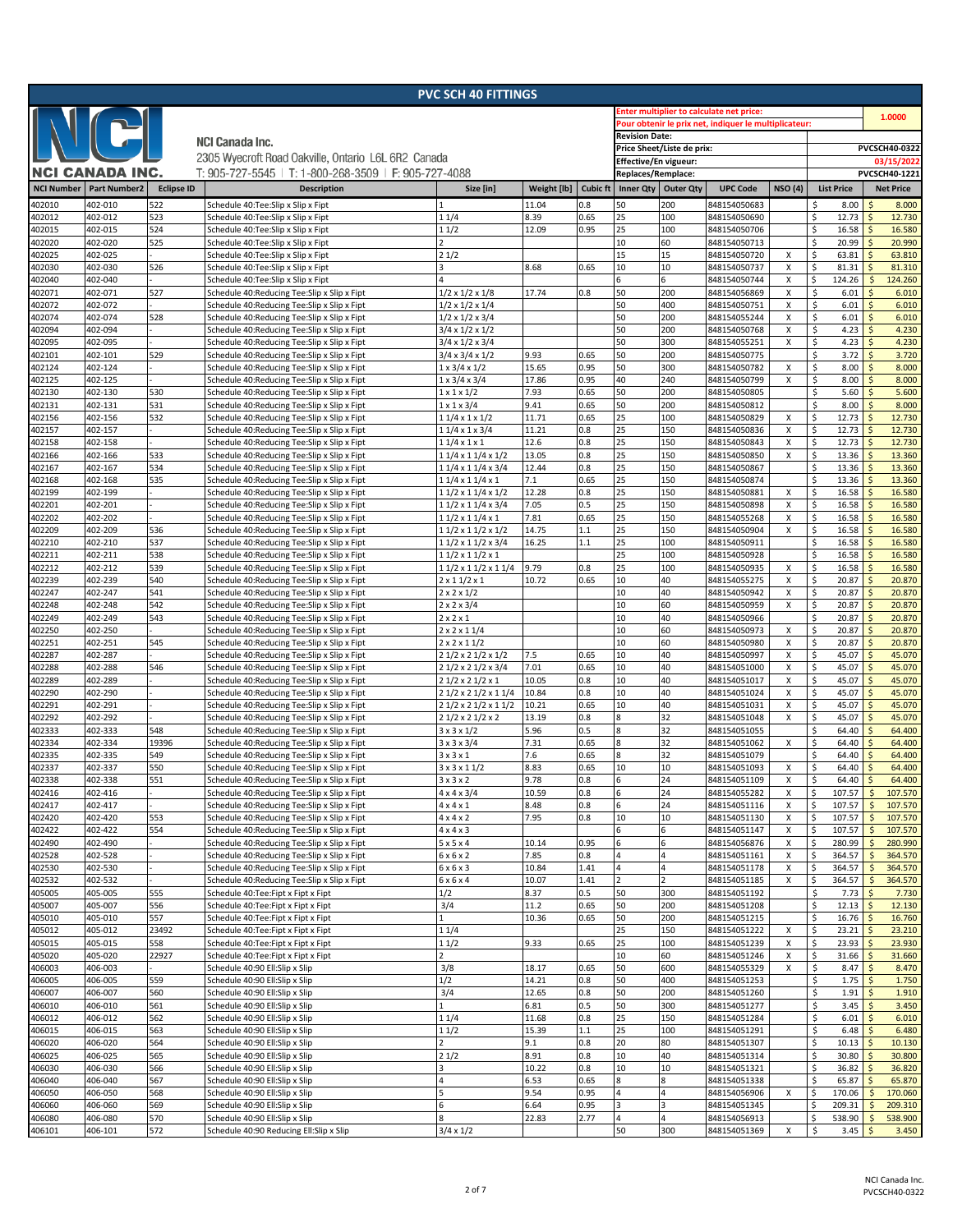|                   |                     |                   |                                                                                            | <b>PVC SCH 40 FITTINGS</b>                                   |               |                 |                       |                            |                                                       |                |                            |                                         |
|-------------------|---------------------|-------------------|--------------------------------------------------------------------------------------------|--------------------------------------------------------------|---------------|-----------------|-----------------------|----------------------------|-------------------------------------------------------|----------------|----------------------------|-----------------------------------------|
|                   |                     |                   |                                                                                            |                                                              |               |                 |                       |                            | inter multiplier to calculate net price:              |                |                            | 1.0000                                  |
|                   |                     |                   |                                                                                            |                                                              |               |                 |                       |                            | Pour obtenir le prix net, indiquer le multiplicateur: |                |                            |                                         |
|                   |                     |                   | <b>NCI Canada Inc.</b>                                                                     |                                                              |               |                 | <b>Revision Date:</b> |                            |                                                       |                |                            |                                         |
|                   |                     |                   | 2305 Wyecroft Road Oakville, Ontario L6L 6R2 Canada                                        |                                                              |               |                 |                       | Price Sheet/Liste de prix: |                                                       |                |                            | PVCSCH40-0322                           |
|                   | NCI CANADA INC.     |                   |                                                                                            |                                                              |               |                 | Effective/En vigueur: |                            |                                                       |                |                            | 03/15/2022                              |
|                   |                     |                   | T: 905-727-5545   T: 1-800-268-3509   F: 905-727-4088                                      |                                                              |               |                 | Replaces/Remplace:    |                            |                                                       |                |                            | PVCSCH40-1221                           |
| <b>NCI Number</b> | <b>Part Number2</b> | <b>Eclipse ID</b> | <b>Description</b>                                                                         | Size [in]                                                    | Weight [lb]   | <b>Cubic ft</b> | Inner Qty   Outer Qty |                            | <b>UPC Code</b>                                       | <b>NSO (4)</b> | <b>List Price</b>          | <b>Net Price</b>                        |
| 402010            | 402-010             | 522               | Schedule 40:Tee:Slip x Slip x Fipt                                                         |                                                              | 11.04         | 0.8             | 50                    | 200                        | 848154050683                                          |                | Ś<br>8.00                  | 8.000                                   |
| 402012            | 402-012             | 523               | Schedule 40:Tee:Slip x Slip x Fipt                                                         | 11/4                                                         | 8.39          | 0.65            | 25                    | 100                        | 848154050690                                          |                | \$<br>12.73                | 12.730                                  |
| 402015            | 402-015             | 524               | Schedule 40:Tee:Slip x Slip x Fipt                                                         | 11/2                                                         | 12.09         | 0.95            | 25                    | 100                        | 848154050706                                          |                | \$<br>16.58                | 16.580<br>Ŝ                             |
| 402020<br>402025  | 402-020<br>402-025  | 525               | Schedule 40:Tee:Slip x Slip x Fipt<br>Schedule 40:Tee:Slip x Slip x Fipt                   | 21/2                                                         |               |                 | 10<br>15              | 60<br>15                   | 848154050713<br>848154050720                          | X              | \$<br>20.99<br>\$<br>63.81 | 20.990<br>63.810<br>Ŝ                   |
| 402030            | 402-030             | 526               | Schedule 40:Tee:Slip x Slip x Fipt                                                         |                                                              | 8.68          | 0.65            | 10                    | 10                         | 848154050737                                          | х              | \$<br>81.31                | 81.310<br>Ś                             |
| 402040            | 402-040             |                   | Schedule 40:Tee:Slip x Slip x Fipt                                                         |                                                              |               |                 | 6                     | 6                          | 848154050744                                          | X              | \$<br>124.26               | $\mathsf{\hat{S}}$<br>124.260           |
| 402071            | 402-071             | 527               | Schedule 40:Reducing Tee:Slip x Slip x Fipt                                                | $1/2 \times 1/2 \times 1/8$                                  | 17.74         | 0.8             | 50                    | 200                        | 848154056869                                          | X              | \$<br>6.01                 | 6.010<br>Ś                              |
| 402072            | 402-072             |                   | Schedule 40:Reducing Tee:Slip x Slip x Fipt                                                | $1/2 \times 1/2 \times 1/4$                                  |               |                 | 50                    | 400                        | 848154050751                                          | х              | \$<br>6.01                 | Ŝ<br>6.010                              |
| 402074            | 402-074             | 528               | Schedule 40:Reducing Tee:Slip x Slip x Fipt                                                | $1/2 \times 1/2 \times 3/4$                                  |               |                 | 50                    | 200                        | 848154055244                                          | X              | \$<br>6.01                 | $\zeta$<br>6.010                        |
| 402094            | 402-094             |                   | Schedule 40:Reducing Tee:Slip x Slip x Fipt                                                | $3/4 \times 1/2 \times 1/2$                                  |               |                 | 50                    | 200                        | 848154050768                                          | X              | \$<br>4.23                 | 4.230<br>Ŝ                              |
| 402095            | 402-095             |                   | Schedule 40:Reducing Tee:Slip x Slip x Fipt                                                | $3/4 \times 1/2 \times 3/4$                                  |               |                 | 50                    | 300                        | 848154055251                                          | Χ              | \$<br>4.23                 | $\mathsf{\hat{S}}$<br>4.230             |
| 402101            | 402-101             | 529               | Schedule 40:Reducing Tee:Slip x Slip x Fipt                                                | 3/4 x 3/4 x 1/2                                              | 9.93          | 0.65            | 50                    | 200                        | 848154050775                                          |                | \$<br>3.72                 | $\mathsf{\hat{S}}$<br>3.720             |
| 402124            | 402-124             |                   | Schedule 40:Reducing Tee:Slip x Slip x Fipt                                                | $1 \times 3/4 \times 1/2$                                    | 15.65         | 0.95            | 50                    | 300                        | 848154050782                                          | X              | \$<br>8.00                 | 8.000<br>Ŝ                              |
| 402125            | 402-125             | 530               | Schedule 40:Reducing Tee:Slip x Slip x Fipt                                                | $1 \times 3/4 \times 3/4$                                    | 17.86<br>7.93 | 0.95<br>0.65    | 40<br>50              | 240<br>200                 | 848154050799                                          | X              | \$<br>8.00<br>\$<br>5.60   | 8.000<br>Ś<br>5.600<br>Ś                |
| 402130<br>402131  | 402-130<br>402-131  | 531               | Schedule 40:Reducing Tee:Slip x Slip x Fipt<br>Schedule 40:Reducing Tee:Slip x Slip x Fipt | $1 \times 1 \times 1/2$<br>$1 \times 1 \times 3/4$           | 9.41          | 0.65            | 50                    | 200                        | 848154050805<br>848154050812                          |                | \$<br>8.00                 | 8.000<br>Ś                              |
| 402156            | 402-156             | 532               | Schedule 40:Reducing Tee:Slip x Slip x Fipt                                                | $11/4 \times 1 \times 1/2$                                   | 11.71         | 0.65            | 25                    | 100                        | 848154050829                                          | X              | \$<br>12.73                | 12.730<br>$\mathsf{\hat{S}}$            |
| 402157            | 402-157             |                   | Schedule 40:Reducing Tee:Slip x Slip x Fipt                                                | $11/4 \times 1 \times 3/4$                                   | 11.21         | 0.8             | 25                    | 150                        | 848154050836                                          | x              | \$<br>12.73                | 12.730                                  |
| 402158            | 402-158             |                   | Schedule 40:Reducing Tee:Slip x Slip x Fipt                                                | $11/4 \times 1 \times 1$                                     | 12.6          | 0.8             | 25                    | 150                        | 848154050843                                          | X              | \$<br>12.73                | 12.730<br>Ś                             |
| 402166            | 402-166             | 533               | Schedule 40:Reducing Tee:Slip x Slip x Fipt                                                | $11/4 \times 11/4 \times 1/2$                                | 13.05         | 0.8             | 25                    | 150                        | 848154050850                                          | X              | \$<br>13.36                | 13.360<br>Ŝ                             |
| 402167            | 402-167             | 534               | Schedule 40:Reducing Tee:Slip x Slip x Fipt                                                | 11/4 x 11/4 x 3/4                                            | 12.44         | 0.8             | 25                    | 150                        | 848154050867                                          |                | \$<br>13.36                | 13.360                                  |
| 402168            | 402-168             | 535               | Schedule 40:Reducing Tee:Slip x Slip x Fipt                                                | $11/4 \times 11/4 \times 1$                                  | 7.1           | 0.65            | 25                    | 150                        | 848154050874                                          |                | \$<br>13.36                | Ś<br>13.360                             |
| 402199            | 402-199             |                   | Schedule 40:Reducing Tee:Slip x Slip x Fipt                                                | $11/2 \times 11/4 \times 1/2$                                | 12.28         | 0.8             | 25                    | 150                        | 848154050881                                          | X              | \$<br>16.58                | 16.580<br>.S                            |
| 402201            | 402-201             |                   | Schedule 40:Reducing Tee:Slip x Slip x Fipt                                                | $11/2 \times 11/4 \times 3/4$                                | 7.05          | 0.5             | 25                    | 150                        | 848154050898                                          | Х              | \$<br>16.58                | 16.580                                  |
| 402202<br>402209  | 402-202<br>402-209  | 536               | Schedule 40:Reducing Tee:Slip x Slip x Fipt<br>Schedule 40:Reducing Tee:Slip x Slip x Fipt | $11/2 \times 11/4 \times 1$<br>$11/2 \times 11/2 \times 1/2$ | 7.81<br>14.75 | 0.65<br>1.1     | 25<br>25              | 150<br>150                 | 848154055268<br>848154050904                          | X<br>X         | 16.58<br>\$<br>\$<br>16.58 | 16.580<br>Ŝ<br>16.580<br>.S             |
| 402210            | 402-210             | 537               | Schedule 40:Reducing Tee:Slip x Slip x Fipt                                                | $11/2 \times 11/2 \times 3/4$                                | 16.25         | $1.1\,$         | 25                    | 100                        | 848154050911                                          |                | \$<br>16.58                | 16.580<br>Ś                             |
| 402211            | 402-211             | 538               | Schedule 40:Reducing Tee:Slip x Slip x Fipt                                                | 11/2 x 11/2 x 1                                              |               |                 | 25                    | 100                        | 848154050928                                          |                | \$<br>16.58                | 16.580                                  |
| 402212            | 402-212             | 539               | Schedule 40:Reducing Tee:Slip x Slip x Fipt                                                | 1 1/2 x 1 1/2 x 1 1/4                                        | 9.79          | 0.8             | 25                    | 100                        | 848154050935                                          | x              | \$<br>16.58                | 16.580                                  |
| 402239            | 402-239             | 540               | Schedule 40:Reducing Tee:Slip x Slip x Fipt                                                | $2 \times 11/2 \times 1$                                     | 10.72         | 0.65            | 10                    | 40                         | 848154055275                                          | х              | \$<br>20.87                | 20.870<br>Ŝ                             |
| 402247            | 402-247             | 541               | Schedule 40:Reducing Tee:Slip x Slip x Fipt                                                | $2 \times 2 \times 1/2$                                      |               |                 | 10                    | 40                         | 848154050942                                          | X              | \$<br>20.87                | 20.870<br>Ś                             |
| 402248            | 402-248             | 542               | Schedule 40:Reducing Tee:Slip x Slip x Fipt                                                | $2 \times 2 \times 3/4$                                      |               |                 | 10                    | 60                         | 848154050959                                          | X              | \$<br>20.87                | 20.870<br>Ŝ                             |
| 402249            | 402-249             | 543               | Schedule 40:Reducing Tee:Slip x Slip x Fipt                                                | 2x2x1                                                        |               |                 | 10                    | 40                         | 848154050966                                          |                | \$<br>20.87                | Ś<br>20.870                             |
| 402250            | 402-250             |                   | Schedule 40:Reducing Tee:Slip x Slip x Fipt                                                | $2 \times 2 \times 11/4$                                     |               |                 | 10                    | 60                         | 848154050973                                          | X              | \$<br>20.87                | Ŝ<br>20.870                             |
| 402251            | 402-251             | 545               | Schedule 40:Reducing Tee:Slip x Slip x Fipt                                                | $2 \times 2 \times 11/2$                                     |               |                 | 10                    | 60                         | 848154050980                                          | Х              | \$<br>20.87                | 20.870<br>Ŝ                             |
| 402287<br>402288  | 402-287<br>402-288  | 546               | Schedule 40:Reducing Tee:Slip x Slip x Fipt                                                | 2 1/2 x 2 1/2 x 1/2<br>2 1/2 x 2 1/2 x 3/4                   | 7.5<br>7.01   | 0.65<br>0.65    | 10<br>10              | 40<br>40                   | 848154050997<br>848154051000                          | X<br>X         | \$<br>45.07<br>\$<br>45.07 | 45.070<br>Ś<br>45.070<br>Ŝ              |
| 402289            | 402-289             |                   | Schedule 40:Reducing Tee:Slip x Slip x Fipt<br>Schedule 40:Reducing Tee:Slip x Slip x Fipt | 21/2 x 21/2 x 1                                              | 10.05         | 0.8             | 10                    | 40                         | 848154051017                                          | X              | \$<br>45.07                | 45.070<br>Ś                             |
| 402290            | 402-290             |                   | Schedule 40:Reducing Tee:Slip x Slip x Fipt                                                | 2 1/2 x 2 1/2 x 1 1/4                                        | 10.84         | 0.8             | 10                    | 40                         | 848154051024                                          | X              | \$<br>45.07                | 45.070<br>Ŝ                             |
| 402291            | 402-291             |                   | Schedule 40:Reducing Tee:Slip x Slip x Fipt                                                | 2 1/2 x 2 1/2 x 1 1/2                                        | 10.21         | 0.65            | 10                    | 40                         | 848154051031                                          | x              | \$<br>45.07                | 45.070<br>Ŝ                             |
| 402292            | 402-292             |                   | Schedule 40:Reducing Tee:Slip x Slip x Fipt                                                | 21/2 x 21/2 x 2                                              | 13.19         | 0.8             | 8                     | 32                         | 848154051048                                          | X              | \$<br>45.07                | 45.070                                  |
| 402333            | 402-333             | 548               | Schedule 40:Reducing Tee:Slip x Slip x Fipt                                                | $3 \times 3 \times 1/2$                                      | 5.96          | 0.5             | 8                     | 32                         | 848154051055                                          |                | \$<br>64.40                | 64.400<br>Ŝ                             |
| 402334            | 402-334             | 19396             | Schedule 40:Reducing Tee:Slip x Slip x Fipt                                                | $3 \times 3 \times 3/4$                                      | 7.31          | 0.65            | 8                     | 32                         | 848154051062                                          | х              | \$<br>64.40                | 64.400<br>Ŝ                             |
| 402335            | 402-335             | 549               | Schedule 40:Reducing Tee:Slip x Slip x Fipt                                                | $3 \times 3 \times 1$                                        | 7.6           | 0.65            | 8                     | 32                         | 848154051079                                          |                | Ś<br>64.40                 | 64.400                                  |
| 402337            | 402-337             | 550               | Schedule 40: Reducing Tee: Slip x Slip x Fipt                                              | $3 \times 3 \times 11/2$                                     | 8.83          | 0.65            | 10                    | 10                         | 848154051093                                          | X              | \$<br>64.40                | 64.400<br>Ŝ                             |
| 402338            | 402-338             | 551               | Schedule 40:Reducing Tee:Slip x Slip x Fipt                                                | $3 \times 3 \times 2$                                        | 9.78          | 0.8             | 6                     | 24                         | 848154051109                                          | x              | \$<br>64.40<br>$107.57$ \$ | 64.400<br>$\mathsf{\hat{S}}$<br>107.570 |
| 402416<br>402417  | 402-416<br>402-417  |                   | Schedule 40:Reducing Tee:Slip x Slip x Fipt<br>Schedule 40:Reducing Tee:Slip x Slip x Fipt | $4 \times 4 \times 3/4$<br>$4 \times 4 \times 1$             | 10.59<br>8.48 | 0.8<br>0.8      | 6<br>6                | 24<br>24                   | 848154055282<br>848154051116                          | х<br>X         | l \$<br>S.<br>107.57       | $\ddot{\mathsf{S}}$<br>107.570          |
| 402420            | 402-420             | 553               | Schedule 40:Reducing Tee:Slip x Slip x Fipt                                                | 4x4x2                                                        | 7.95          | 0.8             | 10                    | 10                         | 848154051130                                          | X              | \$<br>107.57               | 107.570<br>\$                           |
| 402422            | 402-422             | 554               | Schedule 40:Reducing Tee:Slip x Slip x Fipt                                                | $4 \times 4 \times 3$                                        |               |                 | 6                     | 6                          | 848154051147                                          | X              | \$<br>107.57               | 107.570<br>\$                           |
| 402490            | 402-490             |                   | Schedule 40:Reducing Tee:Slip x Slip x Fipt                                                | 5x5x4                                                        | 10.14         | 0.95            | 6                     | 6                          | 848154056876                                          | X              | \$<br>280.99               | 280.990<br>\$                           |
| 402528            | 402-528             |                   | Schedule 40:Reducing Tee:Slip x Slip x Fipt                                                | 6x6x2                                                        | 7.85          | 0.8             | $\overline{4}$        | 4                          | 848154051161                                          | х              | \$<br>364.57               | 364.570<br>\$                           |
| 402530            | 402-530             |                   | Schedule 40:Reducing Tee:Slip x Slip x Fipt                                                | 6x6x3                                                        | 10.84         | 1.41            | $\overline{4}$        | 4                          | 848154051178                                          | X              | \$<br>364.57               | 364.570<br>Ś                            |
| 402532            | 402-532             |                   | Schedule 40:Reducing Tee:Slip x Slip x Fipt                                                | 6x6x4                                                        | 10.07         | 1.41            | $\overline{2}$        | $\overline{\phantom{a}}$   | 848154051185                                          | x              | \$<br>364.57               | 364.570<br>\$                           |
| 405005            | 405-005             | 555               | Schedule 40:Tee:Fipt x Fipt x Fipt                                                         | 1/2                                                          | 8.37          | 0.5             | 50                    | 300                        | 848154051192                                          |                | \$<br>7.73                 | Ŝ<br>7.730                              |
| 405007            | 405-007             | 556<br>557        | Schedule 40:Tee:Fipt x Fipt x Fipt                                                         | 3/4                                                          | 11.2<br>10.36 | 0.65<br>0.65    | 50<br>50              | 200<br>200                 | 848154051208                                          |                | \$<br>12.13<br>\$          | 12.130<br>16.760<br>Ŝ                   |
| 405010<br>405012  | 405-010<br>405-012  | 23492             | Schedule 40:Tee:Fipt x Fipt x Fipt<br>Schedule 40:Tee:Fipt x Fipt x Fipt                   | 11/4                                                         |               |                 | 25                    | 150                        | 848154051215<br>848154051222                          | Х              | 16.76<br>\$<br>23.21       | $\mathsf{\hat{S}}$<br>23.210            |
| 405015            | 405-015             | 558               | Schedule 40:Tee:Fipt x Fipt x Fipt                                                         | 11/2                                                         | 9.33          | 0.65            | 25                    | 100                        | 848154051239                                          | X              | \$<br>23.93                | 23.930                                  |
| 405020            | 405-020             | 22927             | Schedule 40:Tee:Fipt x Fipt x Fipt                                                         | $\overline{2}$                                               |               |                 | 10                    | 60                         | 848154051246                                          | X              | \$<br>31.66                | 31.660<br>\$                            |
| 406003            | 406-003             |                   | Schedule 40:90 Ell:Slip x Slip                                                             | 3/8                                                          | 18.17         | 0.65            | 50                    | 600                        | 848154055329                                          | x              | \$<br>8.47                 | 8.470<br>$\mathsf{S}$                   |
| 406005            | 406-005             | 559               | Schedule 40:90 Ell:Slip x Slip                                                             | 1/2                                                          | 14.21         | 0.8             | 50                    | 400                        | 848154051253                                          |                | \$<br>1.75                 | $\mathsf{S}$<br>1.750                   |
| 406007            | 406-007             | 560               | Schedule 40:90 Ell:Slip x Slip                                                             | 3/4                                                          | 12.65         | 0.8             | 50                    | 200                        | 848154051260                                          |                | \$<br>1.91                 | 1.910<br>\$                             |
| 406010            | 406-010             | 561               | Schedule 40:90 Ell:Slip x Slip                                                             |                                                              | 6.81          | 0.5             | 50                    | 300                        | 848154051277                                          |                | \$<br>3.45                 | 3.450<br>$\zeta$                        |
| 406012            | 406-012             | 562               | Schedule 40:90 Ell:Slip x Slip                                                             | 11/4                                                         | 11.68         | 0.8             | 25                    | 150                        | 848154051284                                          |                | \$<br>6.01                 | Ś<br>6.010                              |
| 406015            | 406-015             | 563               | Schedule 40:90 Ell:Slip x Slip                                                             | 11/2                                                         | 15.39         | 1.1             | 25                    | 100                        | 848154051291                                          |                | \$<br>6.48                 | 6.480<br>$\mathsf{S}$                   |
| 406020<br>406025  | 406-020<br>406-025  | 564<br>565        | Schedule 40:90 Ell:Slip x Slip<br>Schedule 40:90 Ell:Slip x Slip                           | $\overline{ }$<br>21/2                                       | 9.1<br>8.91   | 0.8<br>0.8      | 20<br>10              | 80<br>40                   | 848154051307<br>848154051314                          |                | \$<br>10.13<br>\$<br>30.80 | 10.130<br>$\mathsf{\hat{S}}$<br>30.800  |
| 406030            | 406-030             | 566               | Schedule 40:90 Ell:Slip x Slip                                                             |                                                              | 10.22         | 0.8             | 10                    | 10                         | 848154051321                                          |                | \$<br>36.82                | 36.820<br>Ŝ                             |
| 406040            | 406-040             | 567               | Schedule 40:90 Ell:Slip x Slip                                                             | 4                                                            | 6.53          | 0.65            | 8                     | 8                          | 848154051338                                          |                | \$<br>65.87                | 65.870<br>$\mathsf{\hat{S}}$            |
| 406050            | 406-050             | 568               | Schedule 40:90 Ell:Slip x Slip                                                             | 5                                                            | 9.54          | 0.95            | $\overline{4}$        | 4                          | 848154056906                                          | X              | \$<br>170.06               | 170.060<br>\$                           |
| 406060            | 406-060             | 569               | Schedule 40:90 Ell:Slip x Slip                                                             | 6                                                            | 6.64          | 0.95            | 3                     |                            | 848154051345                                          |                | \$<br>209.31               | 209.310<br>\$                           |
| 406080            | 406-080             | 570               | Schedule 40:90 Ell:Slip x Slip                                                             | 8                                                            | 22.83         | 2.77            | $\overline{a}$        | 4                          | 848154056913                                          |                | \$<br>538.90               | 538.900<br>$\mathsf{S}$                 |
| 406101            | 406-101             | 572               | Schedule 40:90 Reducing Ell:Slip x Slip                                                    | $3/4 \times 1/2$                                             |               |                 | 50                    | 300                        | 848154051369                                          | $\mathsf{x}$   | \$<br>3.45                 | $\zeta$<br>3.450                        |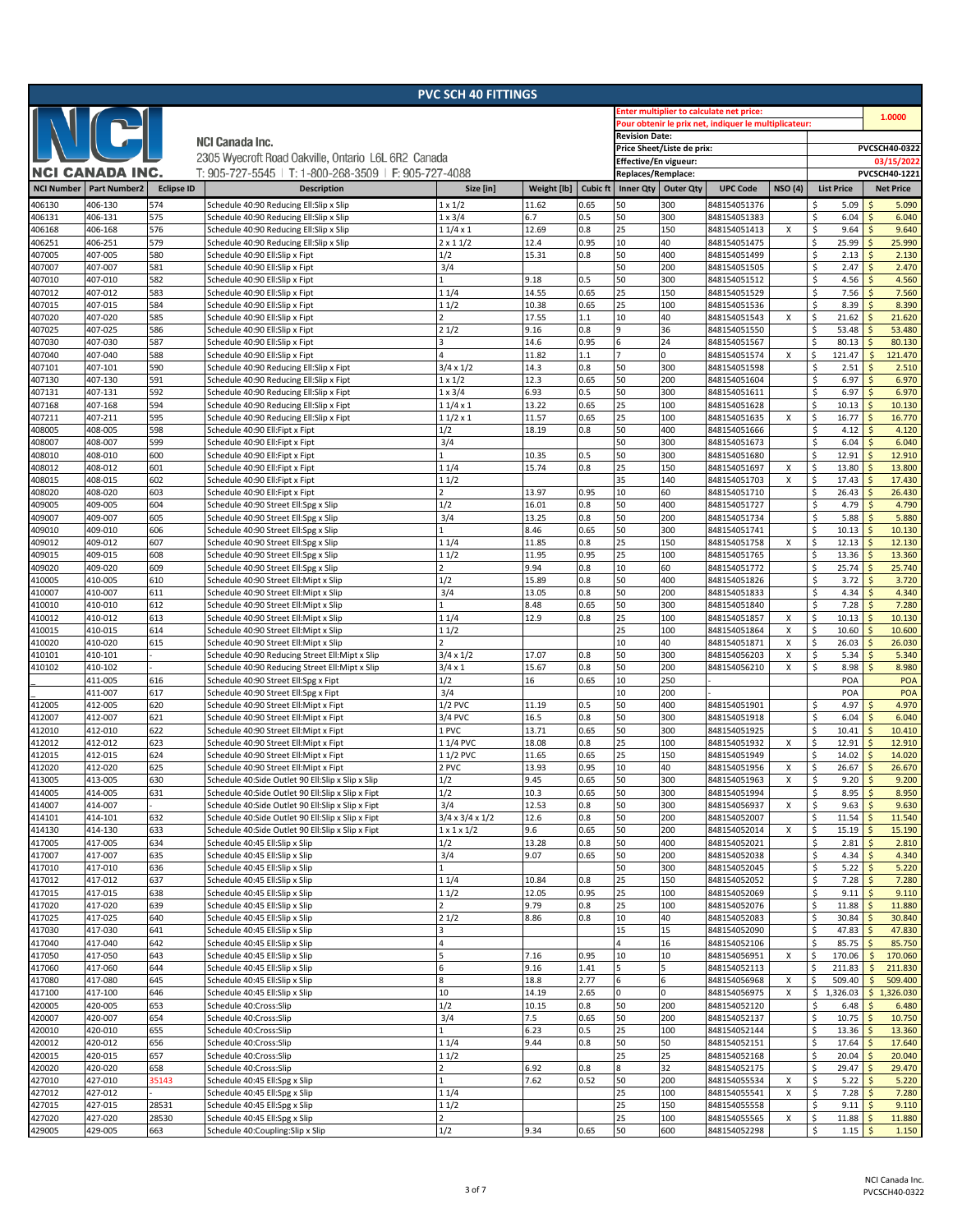| <b>PVC SCH 40 FITTINGS</b> |                        |                   |                                                                                    |                                    |                                                       |                 |                                             |                                          |                              |                           |                              |                          |                             |  |
|----------------------------|------------------------|-------------------|------------------------------------------------------------------------------------|------------------------------------|-------------------------------------------------------|-----------------|---------------------------------------------|------------------------------------------|------------------------------|---------------------------|------------------------------|--------------------------|-----------------------------|--|
|                            |                        |                   |                                                                                    |                                    |                                                       |                 |                                             | inter multiplier to calculate net price: |                              |                           | 1.0000                       |                          |                             |  |
|                            |                        |                   |                                                                                    | <b>Revision Date:</b>              | Pour obtenir le prix net, indiquer le multiplicateur: |                 |                                             |                                          |                              |                           |                              |                          |                             |  |
|                            |                        |                   | <b>NCI Canada Inc.</b>                                                             |                                    |                                                       |                 |                                             |                                          |                              |                           |                              |                          |                             |  |
|                            |                        |                   | 2305 Wyecroft Road Oakville, Ontario L6L 6R2 Canada                                |                                    |                                                       |                 |                                             | Price Sheet/Liste de prix:               |                              |                           |                              |                          | PVCSCH40-0322               |  |
|                            | <b>NCI CANADA INC.</b> |                   | T: 905-727-5545   T: 1-800-268-3509   F: 905-727-4088                              |                                    |                                                       |                 | Effective/En vigueur:<br>Replaces/Remplace: |                                          |                              |                           |                              |                          | 03/15/2022<br>PVCSCH40-1221 |  |
|                            |                        |                   |                                                                                    |                                    |                                                       |                 |                                             |                                          |                              |                           |                              |                          |                             |  |
| <b>NCI Number</b>          | <b>Part Number2</b>    | <b>Eclipse ID</b> | <b>Description</b>                                                                 | Size [in]                          | Weight [lb]                                           | <b>Cubic ft</b> |                                             | Inner Qty   Outer Qty                    | <b>UPC Code</b>              | <b>NSO (4)</b>            | <b>List Price</b>            |                          | <b>Net Price</b>            |  |
| 406130                     | 406-130                | 574               | Schedule 40:90 Reducing Ell:Slip x Slip                                            | $1 \times 1/2$                     | 11.62                                                 | 0.65            | 50                                          | 300                                      | 848154051376                 |                           | 5.09<br>Ś                    |                          | 5.090                       |  |
| 406131                     | 406-131                | 575               | Schedule 40:90 Reducing Ell:Slip x Slip                                            | $1 \times 3/4$                     | 6.7                                                   | 0.5             | 50                                          | 300                                      | 848154051383                 |                           | 6.04<br>\$.                  | Ŝ                        | 6.040                       |  |
| 406168<br>406251           | 406-168<br>406-251     | 576<br>579        | Schedule 40:90 Reducing Ell:Slip x Slip<br>Schedule 40:90 Reducing Ell:Slip x Slip | $11/4 \times 1$<br>$2 \times 11/2$ | 12.69<br>12.4                                         | 0.8<br>0.95     | 25<br>10                                    | 150<br>40                                | 848154051413<br>848154051475 | X                         | \$<br>9.64<br>25.99<br>\$    |                          | 9.640<br>25.990             |  |
| 407005                     | 407-005                | 580               | Schedule 40:90 Ell:Slip x Fipt                                                     | 1/2                                | 15.31                                                 | 0.8             | 50                                          | 400                                      | 848154051499                 |                           | 2.13<br>\$                   | Ŝ                        | 2.130                       |  |
| 407007                     | 407-007                | 581               | Schedule 40:90 Ell:Slip x Fipt                                                     | 3/4                                |                                                       |                 | 50                                          | 200                                      | 848154051505                 |                           | \$<br>2.47                   |                          | 2.470                       |  |
| 407010                     | 407-010                | 582               | Schedule 40:90 Ell:Slip x Fipt                                                     |                                    | 9.18                                                  | 0.5             | 50                                          | 300                                      | 848154051512                 |                           | \$<br>4.56                   |                          | 4.560                       |  |
| 407012                     | 407-012                | 583               | Schedule 40:90 Ell:Slip x Fipt                                                     | 11/4                               | 14.55                                                 | 0.65            | 25                                          | 150                                      | 848154051529                 |                           | \$<br>7.56                   |                          | 7.560                       |  |
| 407015                     | 407-015                | 584               | Schedule 40:90 Ell:Slip x Fipt                                                     | 11/2                               | 10.38                                                 | 0.65            | 25                                          | 100                                      | 848154051536                 |                           | Ś<br>8.39                    |                          | 8.390                       |  |
| 407020                     | 407-020                | 585               | Schedule 40:90 Ell:Slip x Fipt                                                     |                                    | 17.55                                                 | 1.1             | 10                                          | 40                                       | 848154051543                 | Χ                         | 21.62<br>\$                  |                          | 21.620                      |  |
| 407025                     | 407-025                | 586               | Schedule 40:90 Ell:Slip x Fipt                                                     | 21/2                               | 9.16                                                  | 0.8             | q                                           | 36                                       | 848154051550                 |                           | 53.48<br>\$                  |                          | 53.480                      |  |
| 407030                     | 407-030<br>407-040     | 587<br>588        | Schedule 40:90 Ell:Slip x Fipt                                                     |                                    | 14.6<br>11.82                                         | 0.95<br>1.1     |                                             | 24<br>$\Omega$                           | 848154051567                 | Χ                         | 80.13<br>\$<br>\$<br>121.47  | $\mathsf{\$}$            | 80.130<br>121.470           |  |
| 407040<br>407101           | 407-101                | 590               | Schedule 40:90 Ell:Slip x Fipt<br>Schedule 40:90 Reducing Ell:Slip x Fipt          | $3/4 \times 1/2$                   | 14.3                                                  | 0.8             | 50                                          | 300                                      | 848154051574<br>848154051598 |                           | \$<br>2.51                   |                          | 2.510                       |  |
| 407130                     | 407-130                | 591               | Schedule 40:90 Reducing Ell:Slip x Fipt                                            | $1 \times 1/2$                     | 12.3                                                  | 0.65            | 50                                          | 200                                      | 848154051604                 |                           | \$.<br>6.97                  |                          | 6.970                       |  |
| 407131                     | 407-131                | 592               | Schedule 40:90 Reducing Ell:Slip x Fipt                                            | $1 \times 3/4$                     | 6.93                                                  | 0.5             | 50                                          | 300                                      | 848154051611                 |                           | 6.97<br>\$                   |                          | 6.970                       |  |
| 407168                     | 407-168                | 594               | Schedule 40:90 Reducing Ell:Slip x Fipt                                            | $\overline{11/4 \times 1}$         | 13.22                                                 | 0.65            | 25                                          | 100                                      | 848154051628                 |                           | \$<br>10.13                  | Ś                        | 10.130                      |  |
| 407211                     | 407-211                | 595               | Schedule 40:90 Reducing Ell:Slip x Fipt                                            | $11/2 \times 1$                    | 11.57                                                 | 0.65            | 25                                          | 100                                      | 848154051635                 | X                         | 16.77<br>\$.                 | \$                       | 16.770                      |  |
| 408005                     | 408-005                | 598               | Schedule 40:90 Ell:Fipt x Fipt                                                     | 1/2                                | 18.19                                                 | 0.8             | 50                                          | 400                                      | 848154051666                 |                           | 4.12<br>\$                   |                          | 4.120                       |  |
| 408007                     | 408-007                | 599               | Schedule 40:90 Ell:Fipt x Fipt                                                     | 3/4                                |                                                       |                 | 50                                          | 300                                      | 848154051673                 |                           | Ś<br>6.04                    |                          | 6.040                       |  |
| 408010                     | 408-010                | 600               | Schedule 40:90 Ell:Fipt x Fipt                                                     |                                    | 10.35                                                 | 0.5             | 50                                          | 300                                      | 848154051680                 |                           | Ś<br>12.91                   | Ś                        | 12.910                      |  |
| 408012<br>408015           | 408-012<br>408-015     | 601<br>602        | Schedule 40:90 Ell:Fipt x Fipt                                                     | 11/4<br>11/2                       | 15.74                                                 | 0.8             | 25<br>35                                    | 150<br>140                               | 848154051697                 | х                         | 13.80<br>Ś<br>17.43          |                          | 13.800<br>17.430            |  |
| 408020                     | 408-020                | 603               | Schedule 40:90 Ell:Fipt x Fipt<br>Schedule 40:90 Ell:Fipt x Fipt                   |                                    | 13.97                                                 | 0.95            | 10                                          | 60                                       | 848154051703<br>848154051710 | X                         | \$.<br>26.43                 |                          | 26.430                      |  |
| 409005                     | 409-005                | 604               | Schedule 40:90 Street Ell:Spg x Slip                                               | 1/2                                | 16.01                                                 | 0.8             | 50                                          | 400                                      | 848154051727                 |                           | 4.79<br>\$                   | $\mathsf{S}$             | 4.790                       |  |
| 409007                     | 409-007                | 605               | Schedule 40:90 Street Ell:Spg x Slip                                               | 3/4                                | 13.25                                                 | 0.8             | 50                                          | 200                                      | 848154051734                 |                           | Ś<br>5.88                    |                          | 5.880                       |  |
| 409010                     | 409-010                | 606               | Schedule 40:90 Street Ell:Spg x Slip                                               |                                    | 8.46                                                  | 0.65            | 50                                          | 300                                      | 848154051741                 |                           | \$.<br>10.13                 |                          | 10.130                      |  |
| 409012                     | 409-012                | 607               | Schedule 40:90 Street Ell:Spg x Slip                                               | 11/4                               | 11.85                                                 | 0.8             | 25                                          | 150                                      | 848154051758                 | х                         | 12.13<br>\$                  | Ś                        | 12.130                      |  |
| 409015                     | 409-015                | 608               | Schedule 40:90 Street Ell:Spg x Slip                                               | 11/2                               | 11.95                                                 | 0.95            | 25                                          | 100                                      | 848154051765                 |                           | 13.36                        |                          | 13.360                      |  |
| 409020                     | 409-020                | 609               | Schedule 40:90 Street Ell:Spg x Slip                                               |                                    | 9.94                                                  | 0.8             | 10                                          | 60                                       | 848154051772                 |                           | Ś<br>25.74                   | Ś                        | 25.740                      |  |
| 410005                     | 410-005                | 610               | Schedule 40:90 Street Ell:Mipt x Slip                                              | 1/2                                | 15.89                                                 | 0.8             | 50                                          | 400                                      | 848154051826                 |                           | 3.72<br>Ś                    | Ś                        | 3.720                       |  |
| 410007                     | 410-007                | 611               | Schedule 40:90 Street Ell:Mipt x Slip                                              | 3/4                                | 13.05                                                 | 0.8             | 50                                          | 200                                      | 848154051833                 |                           | Ś<br>4.34                    |                          | 4.340                       |  |
| 410010<br>410012           | 410-010<br>410-012     | 612<br>613        | Schedule 40:90 Street Ell:Mipt x Slip<br>Schedule 40:90 Street Ell:Mipt x Slip     | 11/4                               | 8.48<br>12.9                                          | 0.65<br>0.8     | 50<br>25                                    | 300<br>100                               | 848154051840<br>848154051857 | х                         | 7.28<br>\$<br>10.13<br>\$.   | Ś<br>Ś                   | 7.280<br>10.130             |  |
| 410015                     | 410-015                | 614               | Schedule 40:90 Street Ell:Mipt x Slip                                              | 11/2                               |                                                       |                 | 25                                          | 100                                      | 848154051864                 | Χ                         | \$<br>10.60                  |                          | 10.600                      |  |
| 410020                     | 410-020                | 615               | Schedule 40:90 Street Ell:Mipt x Slip                                              |                                    |                                                       |                 | 10                                          | 40                                       | 848154051871                 | X                         | 26.03<br>\$.                 | Ś                        | 26.030                      |  |
| 410101                     | 410-101                |                   | Schedule 40:90 Reducing Street Ell:Mipt x Slip                                     | $3/4 \times 1/2$                   | 17.07                                                 | 0.8             | 50                                          | 300                                      | 848154056203                 | X                         | \$<br>5.34                   | $\mathsf{S}$             | 5.340                       |  |
| 410102                     | 410-102                |                   | Schedule 40:90 Reducing Street Ell:Mipt x Slip                                     | $3/4 \times 1$                     | 15.67                                                 | 0.8             | 50                                          | 200                                      | 848154056210                 | X                         | \$<br>8.98                   |                          | 8.980                       |  |
|                            | 411-005                | 616               | Schedule 40:90 Street Ell:Spg x Fipt                                               | 1/2                                | 16                                                    | 0.65            | 10                                          | 250                                      |                              |                           | POA                          |                          | POA                         |  |
|                            | 411-007                | 617               | Schedule 40:90 Street Ell:Spg x Fipt                                               | 3/4                                |                                                       |                 | 10                                          | 200                                      |                              |                           | POA                          |                          | POA                         |  |
| 412005                     | 412-005                | 620               | Schedule 40:90 Street Ell:Mipt x Fipt                                              | $1/2$ PVC                          | 11.19                                                 | 0.5             | 50                                          | 400                                      | 848154051901                 |                           | 4.97<br>\$                   |                          | 4.970                       |  |
| 412007                     | 412-007                | 621               | Schedule 40:90 Street Ell:Mipt x Fipt                                              | 3/4 PVC                            | 16.5                                                  | 0.8             | 50                                          | 300                                      | 848154051918                 |                           | Ś<br>6.04                    |                          | 6.040                       |  |
| 412010<br>412012           | 412-010<br>412-012     | 622<br>623        | Schedule 40:90 Street Ell:Mipt x Fipt<br>Schedule 40:90 Street Ell:Mipt x Fipt     | 1 PVC<br>11/4 PVC                  | 13.71<br>18.08                                        | 0.65<br>0.8     | 50<br>25                                    | 300<br>100                               | 848154051925<br>848154051932 |                           | \$<br>10.41<br>12.91<br>Ś    | Ś                        | 10.410<br>12.910            |  |
| 412015                     | 412-015                | 624               | Schedule 40:90 Street Ell:Mipt x Fipt                                              | 11/2 PVC                           | 11.65                                                 | 0.65            | 25                                          | 150                                      | 848154051949                 | Х                         | 14.02                        |                          | 14.020                      |  |
| 412020                     | 412-020                | 625               | Schedule 40:90 Street Ell:Mipt x Fipt                                              | 2 PVC                              | 13.93                                                 | 0.95            | 10                                          | 40                                       | 848154051956                 | X                         | \$<br>26.67                  | $\mathsf{S}$             | 26.670                      |  |
| 413005                     | 413-005                | 630               | Schedule 40:Side Outlet 90 Ell:Slip x Slip x Slip                                  | 1/2                                | 9.45                                                  | 0.65            | 50                                          | 300                                      | 848154051963                 | X                         | 9.20<br>\$                   | \$                       | 9.200                       |  |
| 414005                     | 414-005                | 631               | Schedule 40:Side Outlet 90 Ell:Slip x Slip x Fipt                                  | 1/2                                | 10.3                                                  | 0.65            | 50                                          | 300                                      | 848154051994                 |                           | \$<br>8.95                   | \$                       | 8.950                       |  |
| 414007                     | 414-007                |                   | Schedule 40:Side Outlet 90 Ell:Slip x Slip x Fipt                                  | 3/4                                | 12.53                                                 | 0.8             | 50                                          | 300                                      | 848154056937                 | Χ                         | \$<br>9.63                   | $\mathsf{S}$             | 9.630                       |  |
| 414101                     | 414-101                | 632               | Schedule 40:Side Outlet 90 Ell:Slip x Slip x Fipt                                  | $3/4 \times 3/4 \times 1/2$        | 12.6                                                  | 0.8             | 50                                          | 200                                      | 848154052007                 |                           | \$<br>11.54                  |                          | 11.540                      |  |
| 414130                     | 414-130                | 633               | Schedule 40:Side Outlet 90 Ell:Slip x Slip x Fipt                                  | $1 \times 1 \times 1/2$            | 9.6                                                   | 0.65            | 50                                          | 200                                      | 848154052014                 | X                         | \$<br>15.19                  | Ś                        | 15.190                      |  |
| 417005                     | 417-005                | 634               | Schedule 40:45 Ell:Slip x Slip                                                     | 1/2                                | 13.28                                                 | 0.8             | 50                                          | 400                                      | 848154052021                 |                           | 2.81<br>\$                   | \$                       | 2.810                       |  |
| 417007<br>417010           | 417-007<br>417-010     | 635<br>636        | Schedule 40:45 Ell:Slip x Slip<br>Schedule 40:45 Ell:Slip x Slip                   | 3/4                                | 9.07                                                  | 0.65            | 50<br>50                                    | 200<br>300                               | 848154052038<br>848154052045 |                           | \$<br>4.34<br>5.22<br>\$     | Ś<br>$\zeta$             | 4.340<br>5.220              |  |
| 417012                     | 417-012                | 637               | Schedule 40:45 Ell:Slip x Slip                                                     | 11/4                               | 10.84                                                 | 0.8             | 25                                          | 150                                      | 848154052052                 |                           | \$<br>7.28                   | $\mathsf{\hat{S}}$       | 7.280                       |  |
| 417015                     | 417-015                | 638               | Schedule 40:45 Ell:Slip x Slip                                                     | 11/2                               | 12.05                                                 | 0.95            | 25                                          | 100                                      | 848154052069                 |                           | \$<br>9.11                   | Ś                        | 9.110                       |  |
| 417020                     | 417-020                | 639               | Schedule 40:45 Ell:Slip x Slip                                                     |                                    | 9.79                                                  | 0.8             | 25                                          | 100                                      | 848154052076                 |                           | \$<br>11.88                  | $\mathsf{\hat{S}}$       | 11.880                      |  |
| 417025                     | 417-025                | 640               | Schedule 40:45 Ell:Slip x Slip                                                     | 21/2                               | 8.86                                                  | 0.8             | 10                                          | 40                                       | 848154052083                 |                           | \$<br>30.84                  | $\mathsf{S}$             | 30.840                      |  |
| 417030                     | 417-030                | 641               | Schedule 40:45 Ell:Slip x Slip                                                     |                                    |                                                       |                 | 15                                          | 15                                       | 848154052090                 |                           | \$<br>47.83                  | \$                       | 47.830                      |  |
| 417040                     | 417-040                | 642               | Schedule 40:45 Ell:Slip x Slip                                                     |                                    |                                                       |                 |                                             | 16                                       | 848154052106                 |                           | 85.75<br>\$                  | \$                       | 85.750                      |  |
| 417050                     | 417-050                | 643               | Schedule 40:45 Ell:Slip x Slip                                                     |                                    | 7.16                                                  | 0.95            | 10                                          | 10                                       | 848154056951                 | X                         | S.<br>170.06                 | $\ddot{\mathsf{S}}$      | 170.060                     |  |
| 417060<br>417080           | 417-060<br>417-080     | 644<br>645        | Schedule 40:45 Ell:Slip x Slip<br>Schedule 40:45 Ell:Slip x Slip                   | 6                                  | 9.16<br>18.8                                          | 1.41<br>2.77    | 6                                           | 6                                        | 848154052113<br>848154056968 | X                         | \$<br>211.83<br>\$<br>509.40 | $\mathsf{\$}$<br>$\zeta$ | 211.830<br>509.400          |  |
| 417100                     | 417-100                | 646               | Schedule 40:45 Ell:Slip x Slip                                                     | 10                                 | 14.19                                                 | 2.65            | 0                                           | $\mathbf{0}$                             | 848154056975                 | $\boldsymbol{\mathsf{x}}$ | \$<br>1,326.03               |                          | \$1,326.030                 |  |
| 420005                     | 420-005                | 653               | Schedule 40:Cross:Slip                                                             | 1/2                                | 10.15                                                 | 0.8             | 50                                          | 200                                      | 848154052120                 |                           | \$<br>6.48                   | Ś                        | 6.480                       |  |
| 420007                     | 420-007                | 654               | Schedule 40:Cross:Slip                                                             | 3/4                                | 7.5                                                   | 0.65            | 50                                          | 200                                      | 848154052137                 |                           | \$<br>10.75                  | \$                       | 10.750                      |  |
| 420010                     | 420-010                | 655               | Schedule 40:Cross:Slip                                                             |                                    | 6.23                                                  | 0.5             | 25                                          | 100                                      | 848154052144                 |                           | \$<br>13.36                  |                          | 13.360                      |  |
| 420012                     | 420-012                | 656               | Schedule 40:Cross:Slip                                                             | 11/4                               | 9.44                                                  | 0.8             | 50                                          | 50                                       | 848154052151                 |                           | \$<br>17.64                  | \$                       | 17.640                      |  |
| 420015                     | 420-015                | 657               | Schedule 40:Cross:Slip                                                             | 11/2                               |                                                       |                 | 25                                          | 25                                       | 848154052168                 |                           | 20.04<br>\$                  | Ŝ                        | 20.040                      |  |
| 420020                     | 420-020                | 658               | Schedule 40:Cross:Slip                                                             | $\overline{2}$                     | 6.92                                                  | 0.8             |                                             | 32                                       | 848154052175                 |                           | \$<br>29.47                  | Ś                        | 29.470                      |  |
| 427010<br>427012           | 427-010<br>427-012     | 35143             | Schedule 40:45 Ell:Spg x Slip                                                      | 11/4                               | 7.62                                                  | 0.52            | 50<br>25                                    | 200<br>100                               | 848154055534                 | X                         | 5.22<br>\$<br>7.28           | $\mathsf{S}$             | 5.220                       |  |
| 427015                     | 427-015                | 28531             | Schedule 40:45 Ell:Spg x Slip<br>Schedule 40:45 Ell:Spg x Slip                     | 11/2                               |                                                       |                 | 25                                          | 150                                      | 848154055541<br>848154055558 | X                         | \$<br>\$<br>9.11             | \$<br>Ś                  | 7.280<br>9.110              |  |
| 427020                     | 427-020                | 28530             | Schedule 40:45 Ell:Spg x Slip                                                      | $\overline{2}$                     |                                                       |                 | 25                                          | 100                                      | 848154055565                 | Х                         | 11.88<br>\$                  | Ŝ                        | 11.880                      |  |
| 429005                     | 429-005                | 663               | Schedule 40:Coupling:Slip x Slip                                                   | 1/2                                | 9.34                                                  | 0.65            | 50                                          | 600                                      | 848154052298                 |                           | \$<br>1.15                   | $\ddot{\varsigma}$       | 1.150                       |  |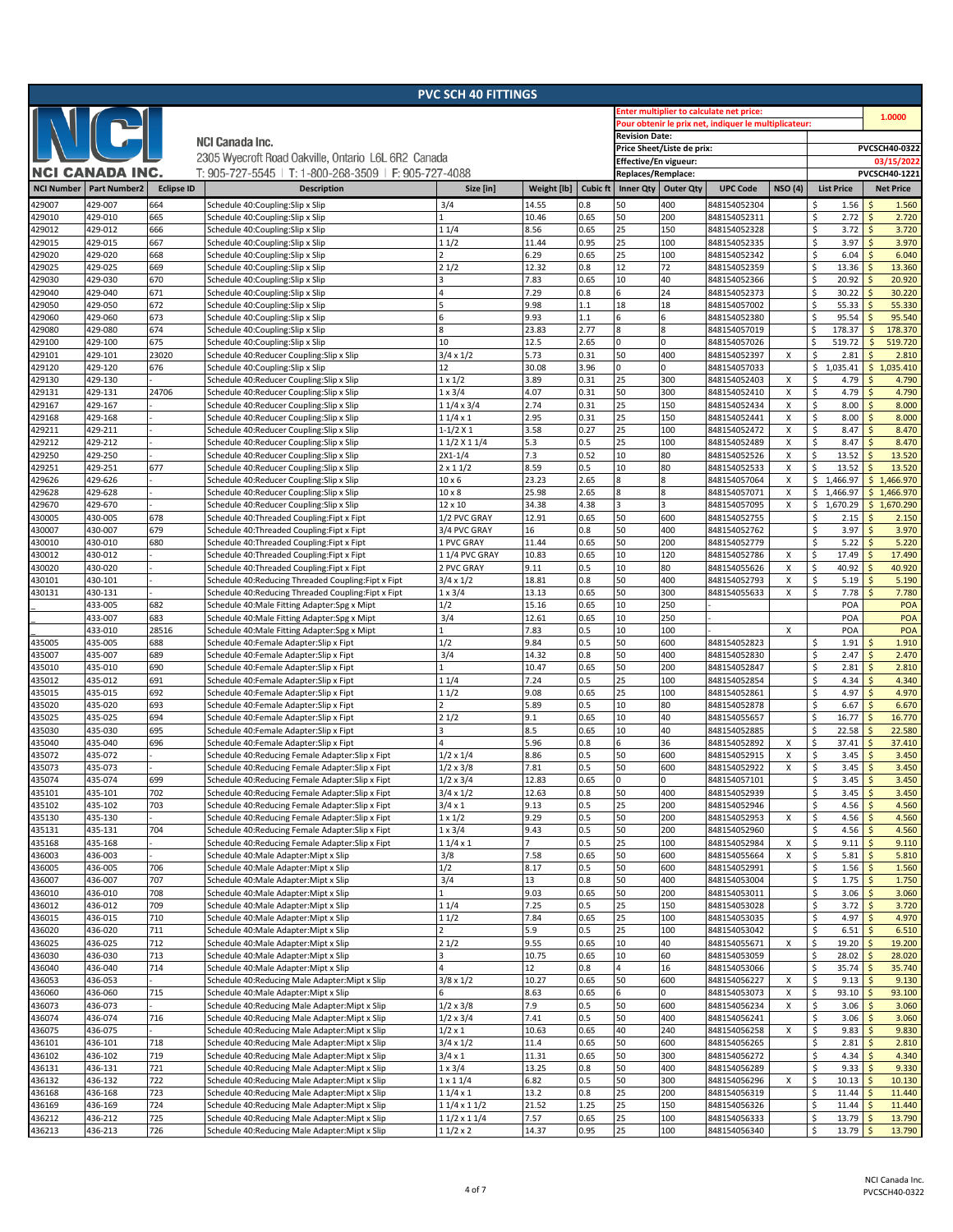| <b>PVC SCH 40 FITTINGS</b> |                     |                   |                                                                                |                    |               |                 |                                                       |                            |                              |                |                            |                                       |  |  |
|----------------------------|---------------------|-------------------|--------------------------------------------------------------------------------|--------------------|---------------|-----------------|-------------------------------------------------------|----------------------------|------------------------------|----------------|----------------------------|---------------------------------------|--|--|
|                            |                     |                   |                                                                                |                    |               |                 | inter multiplier to calculate net price:              |                            |                              |                |                            |                                       |  |  |
|                            |                     |                   |                                                                                |                    |               |                 | Pour obtenir le prix net, indiquer le multiplicateur: |                            | 1.0000                       |                |                            |                                       |  |  |
|                            |                     |                   |                                                                                |                    |               |                 | <b>Revision Date:</b>                                 |                            |                              |                |                            |                                       |  |  |
|                            |                     |                   | <b>NCI Canada Inc.</b>                                                         |                    |               |                 |                                                       | Price Sheet/Liste de prix: |                              |                |                            | PVCSCH40-0322                         |  |  |
|                            |                     |                   | 2305 Wyecroft Road Oakville, Ontario L6L 6R2 Canada                            |                    |               |                 | Effective/En vigueur:                                 |                            |                              | 03/15/2022     |                            |                                       |  |  |
|                            | NCI CANADA INC.     |                   | T: 905-727-5545   T: 1-800-268-3509   F: 905-727-4088                          |                    |               |                 | Replaces/Remplace:                                    |                            |                              |                |                            | PVCSCH40-1221                         |  |  |
| <b>NCI Number</b>          | <b>Part Number2</b> | <b>Eclipse ID</b> | <b>Description</b>                                                             | Size [in]          | Weight [lb]   | <b>Cubic ft</b> | Inner Qty   Outer Qty                                 |                            | <b>UPC Code</b>              | <b>NSO (4)</b> | <b>List Price</b>          | <b>Net Price</b>                      |  |  |
|                            |                     |                   |                                                                                |                    |               |                 |                                                       |                            |                              |                |                            |                                       |  |  |
| 429007                     | 429-007             | 664               | Schedule 40:Coupling:Slip x Slip                                               | 3/4                | 14.55         | 0.8<br>0.65     | 50<br>50                                              | 400                        | 848154052304                 |                | 1.56<br>Ś                  | 1.560                                 |  |  |
| 429010                     | 429-010<br>429-012  | 665<br>666        | Schedule 40:Coupling:Slip x Slip                                               |                    | 10.46<br>8.56 | 0.65            | 25                                                    | 200<br>150                 | 848154052311                 |                | \$<br>2.72<br>3.72         | $\mathsf{S}$<br>2.720<br>Ś            |  |  |
| 429012                     |                     | 667               | Schedule 40:Coupling:Slip x Slip                                               | 11/4               |               | 0.95            | 25                                                    | 100                        | 848154052328                 |                | \$<br>3.97                 | 3.720<br>3.970<br>Ś                   |  |  |
| 429015                     | 429-015             |                   | Schedule 40:Coupling:Slip x Slip                                               | 11/2               | 11.44         |                 |                                                       |                            | 848154052335                 |                | \$                         |                                       |  |  |
| 429020<br>129025           | 429-020<br>429-025  | 668<br>669        | Schedule 40:Coupling:Slip x Slip<br>Schedule 40:Coupling:Slip x Slip           |                    | 6.29<br>12.32 | 0.65<br>0.8     | 25<br>12                                              | 100<br>72                  | 848154052342<br>848154052359 |                | \$<br>6.04<br>\$<br>13.36  | 6.040<br>Ś                            |  |  |
| 429030                     | 429-030             | 670               |                                                                                | 21/2               | 7.83          | 0.65            | 10                                                    | 40                         | 848154052366                 |                | \$<br>20.92                | 13.360<br>20.920<br>Ś                 |  |  |
| 429040                     |                     | 671               | Schedule 40:Coupling:Slip x Slip                                               | 4                  | 7.29          | 0.8             | 6                                                     | 24                         |                              |                | \$<br>30.22                | 30.220<br>Ŝ                           |  |  |
| 129050                     | 429-040<br>429-050  | 672               | Schedule 40:Coupling:Slip x Slip                                               |                    | 9.98          | 1.1             | 18                                                    | 18                         | 848154052373<br>848154057002 |                | \$<br>55.33                | 55.330                                |  |  |
| 129060                     | 429-060             | 673               | Schedule 40:Coupling:Slip x Slip                                               | 6                  | 9.93          | 1.1             | 6                                                     | 6                          | 848154052380                 |                | \$<br>95.54                | 95.540                                |  |  |
| 429080                     | 429-080             | 674               | Schedule 40:Coupling:Slip x Slip<br>Schedule 40:Coupling:Slip x Slip           | 8                  | 23.83         | 2.77            | 8                                                     | 8                          | 848154057019                 |                | 178.37<br>\$               | 178.370<br>\$                         |  |  |
| 429100                     | 429-100             | 675               | Schedule 40:Coupling:Slip x Slip                                               | 10                 | 12.5          | 2.65            | 0                                                     | $\Omega$                   | 848154057026                 |                | \$<br>519.72               | 519.720<br>Ś                          |  |  |
| 429101                     | 429-101             | 23020             | Schedule 40:Reducer Coupling:Slip x Slip                                       | $3/4 \times 1/2$   | 5.73          | 0.31            | 50                                                    | 400                        | 848154052397                 | X              | \$<br>2.81                 | $\mathsf{S}$<br>2.810                 |  |  |
| 429120                     | 429-120             | 676               | Schedule 40:Coupling:Slip x Slip                                               | 12                 | 30.08         | 3.96            | O                                                     | $\Omega$                   | 848154057033                 |                | \$1,035.41                 | \$1,035.410                           |  |  |
| 429130                     | 429-130             |                   | Schedule 40:Reducer Coupling:Slip x Slip                                       | $1 \times 1/2$     | 3.89          | 0.31            | 25                                                    | 300                        | 848154052403                 | Х              | \$<br>4.79                 | 4.790<br>Ś                            |  |  |
| 129131                     | 429-131             | 24706             | Schedule 40:Reducer Coupling:Slip x Slip                                       | $1 \times 3/4$     | 4.07          | 0.31            | 50                                                    | 300                        | 848154052410                 | X              | \$<br>4.79                 | 4.790<br>Ś                            |  |  |
| 429167                     | 429-167             |                   | Schedule 40:Reducer Coupling:Slip x Slip                                       | $11/4 \times 3/4$  | 2.74          | 0.31            | 25                                                    | 150                        | 848154052434                 | X              | \$<br>8.00                 | 8.000<br>Ś                            |  |  |
| 429168                     | 429-168             |                   | Schedule 40:Reducer Coupling:Slip x Slip                                       | 11/4x1             | 2.95          | 0.31            | 25                                                    | 150                        | 848154052441                 | X              | \$<br>8.00                 | 8.000<br>Ŝ                            |  |  |
| 429211                     | 429-211             |                   | Schedule 40:Reducer Coupling:Slip x Slip                                       | $1 - 1/2$ X 1      | 3.58          | 0.27            | 25                                                    | 100                        | 848154052472                 | x              | \$<br>8.47                 | 8.470<br>Ŝ                            |  |  |
| 429212                     | 429-212             |                   | Schedule 40:Reducer Coupling:Slip x Slip                                       | 11/2 X 11/4        | 5.3           | 0.5             | 25                                                    | 100                        | 848154052489                 | X              | \$<br>8.47                 | 8.470<br>Ŝ                            |  |  |
| 429250                     | 429-250             |                   | Schedule 40:Reducer Coupling:Slip x Slip                                       | $2X1 - 1/4$        | 7.3           | 0.52            | 10                                                    | 80                         | 848154052526                 | X              | \$<br>13.52                | 13.520<br>Ŝ                           |  |  |
| 429251                     | 429-251             | 677               | Schedule 40:Reducer Coupling:Slip x Slip                                       | $2 \times 11/2$    | 8.59          | 0.5             | 10                                                    | 80                         | 848154052533                 | Х              | \$<br>13.52                | 13.520<br>Ŝ                           |  |  |
| 429626                     | 429-626             |                   | Schedule 40:Reducer Coupling:Slip x Slip                                       | $10 \times 6$      | 23.23         | 2.65            | 8                                                     | 8                          | 848154057064                 | X              | \$<br>1,466.97             | \$1,466.970                           |  |  |
| 429628                     | 429-628             |                   | Schedule 40:Reducer Coupling:Slip x Slip                                       | $10 \times 8$      | 25.98         | 2.65            | 8                                                     | 8                          | 848154057071                 | X              | Ś.<br>1,466.97             | \$1,466.970                           |  |  |
| 429670                     | 429-670             |                   | Schedule 40:Reducer Coupling:Slip x Slip                                       | 12 x 10            | 34.38         | 4.38            | 3                                                     | 3                          | 848154057095                 | х              | \$<br>1,670.29             | \$<br>1,670.290                       |  |  |
| 430005                     | 430-005             | 678               | Schedule 40:Threaded Coupling:Fipt x Fipt                                      | 1/2 PVC GRAY       | 12.91         | 0.65            | 50                                                    | 600                        | 848154052755                 |                | \$<br>2.15                 | 2.150                                 |  |  |
| 430007                     | 430-007             | 679               | Schedule 40: Threaded Coupling: Fipt x Fipt                                    | 3/4 PVC GRAY       | 16            | 0.8             | 50                                                    | 400                        | 848154052762                 |                | \$<br>3.97                 | 3.970<br>.S                           |  |  |
| 430010                     | 430-010             | 680               | Schedule 40: Threaded Coupling: Fipt x Fipt                                    | 1 PVC GRAY         | 11.44         | 0.65            | 50                                                    | 200                        | 848154052779                 |                | \$<br>5.22                 | 5.220<br>Ŝ                            |  |  |
| 430012                     | 430-012             |                   | Schedule 40:Threaded Coupling:Fipt x Fipt                                      | 11/4 PVC GRAY      | 10.83         | 0.65            | 10                                                    | 120                        | 848154052786                 | X              | \$<br>17.49                | 17.490<br>$\ddot{\varsigma}$          |  |  |
| 130020                     | 430-020             |                   | Schedule 40:Threaded Coupling:Fipt x Fipt                                      | 2 PVC GRAY         | 9.11          | 0.5             | 10                                                    | 80                         | 848154055626                 | X              | \$<br>40.92                | 40.920<br>Ŝ                           |  |  |
| 430101                     | 430-101             |                   | Schedule 40:Reducing Threaded Coupling:Fipt x Fipt                             | $3/4 \times 1/2$   | 18.81         | 0.8             | 50                                                    | 400                        | 848154052793                 | х              | \$<br>5.19                 | Ŝ<br>5.190                            |  |  |
| 130131                     | 430-131             |                   | Schedule 40:Reducing Threaded Coupling:Fipt x Fipt                             | $1 \times 3/4$     | 13.13         | 0.65            | 50                                                    | 300                        | 848154055633                 | X              | \$<br>7.78                 | 7.780                                 |  |  |
|                            | 433-005             | 682               | Schedule 40:Male Fitting Adapter:Spg x Mipt                                    | 1/2                | 15.16         | 0.65            | 10                                                    | 250                        |                              |                | POA                        | POA                                   |  |  |
|                            | 433-007             | 683               | Schedule 40:Male Fitting Adapter:Spg x Mipt                                    | 3/4                | 12.61         | 0.65            | 10                                                    | 250                        |                              |                | POA                        | POA                                   |  |  |
|                            | 433-010             | 28516             | Schedule 40:Male Fitting Adapter:Spg x Mipt                                    |                    | 7.83          | 0.5             | 10                                                    | 100                        |                              | X              | POA                        | POA                                   |  |  |
| 435005                     | 435-005             | 688               | Schedule 40:Female Adapter:Slip x Fipt                                         | 1/2                | 9.84          | 0.5             | 50                                                    | 600                        | 848154052823                 |                | \$<br>1.91                 | 1.910<br>Ŝ                            |  |  |
| 435007                     | 435-007             | 689               | Schedule 40:Female Adapter:Slip x Fipt                                         | 3/4                | 14.32         | 0.8             | 50                                                    | 400                        | 848154052830                 |                | \$<br>2.47                 | 2.470<br>$\mathsf{\hat{S}}$           |  |  |
| 435010                     | 435-010             | 690               | Schedule 40:Female Adapter:Slip x Fipt                                         |                    | 10.47         | 0.65            | 50                                                    | 200                        | 848154052847                 |                | \$<br>2.81                 | <sup>5</sup><br>2.810                 |  |  |
| 435012                     | 435-012             | 691               | Schedule 40:Female Adapter:Slip x Fipt                                         | 11/4               | 7.24          | 0.5             | 25                                                    | 100                        | 848154052854                 |                | \$<br>4.34                 | 4.340<br>Ŝ                            |  |  |
| 435015                     | 435-015             | 692               | Schedule 40:Female Adapter:Slip x Fipt                                         | 11/2               | 9.08          | 0.65            | 25                                                    | 100                        | 848154052861                 |                | \$<br>4.97                 | 4.970<br>S.                           |  |  |
| 435020                     | 435-020             | 693               | Schedule 40:Female Adapter:Slip x Fipt                                         |                    | 5.89          | 0.5             | 10                                                    | 80                         | 848154052878                 |                | \$<br>6.67                 | Ś<br>6.670                            |  |  |
| 435025                     | 435-025             | 694               | Schedule 40:Female Adapter:Slip x Fipt                                         | 21/2               | 9.1           | 0.65            | 10                                                    | 40                         | 848154055657                 |                | \$<br>16.77                | Ś<br>16.770                           |  |  |
| 435030                     | 435-030             | 695               | Schedule 40:Female Adapter:Slip x Fipt                                         | 3                  | 8.5           | 0.65            | 10                                                    | 40                         | 848154052885                 |                | \$<br>22.58                | 22.580<br>$\mathsf{\hat{S}}$          |  |  |
| 435040                     | 435-040             | 696               | Schedule 40:Female Adapter:Slip x Fipt                                         | 4                  | 5.96          | 0.8             | 6                                                     | 36                         | 848154052892                 | х              | \$<br>37.41                | 37.410                                |  |  |
| 435072                     | 435-072             |                   | Schedule 40:Reducing Female Adapter:Slip x Fipt                                | $1/2 \times 1/4$   | 8.86          | 0.5             | 50                                                    | 600                        | 848154052915                 | х              | \$<br>3.45                 | Ś<br>3.450                            |  |  |
| 435073                     | 435-073             |                   | Schedule 40:Reducing Female Adapter:Slip x Fipt                                | $1/2 \times 3/8$   | 7.81          | 0.5             | 50                                                    | 600                        | 848154052922                 | X              | \$<br>3.45                 | 3.450<br>$\mathsf{S}$                 |  |  |
| 435074                     | 435-074             | 699               | Schedule 40:Reducing Female Adapter:Slip x Fipt                                | $1/2 \times 3/4$   | 12.83         | 0.65            | $\Omega$                                              | $\Omega$                   | 848154057101                 |                | \$<br>3.45                 | $\zeta$<br>3.450                      |  |  |
| 435101                     | 435-101             | 702               | Schedule 40:Reducing Female Adapter:Slip x Fipt                                | $3/4 \times 1/2$   | 12.63         | 0.8             | 50                                                    | 400                        | 848154052939                 |                | \$<br>3.45                 | \$<br>3.450                           |  |  |
| 435102                     | 435-102             | 703               | Schedule 40:Reducing Female Adapter:Slip x Fipt                                | $3/4 \times 1$     | 9.13          | 0.5             | 25                                                    | 200                        | 848154052946                 |                | \$<br>4.56                 | 4.560<br>$\zeta$                      |  |  |
| 435130                     | 435-130             |                   | Schedule 40:Reducing Female Adapter:Slip x Fipt                                | $1 \times 1/2$     | 9.29          | 0.5             | 50                                                    | 200                        | 848154052953                 | x              | \$<br>4.56                 | $\mathsf{\hat{S}}$<br>4.560           |  |  |
| 435131                     | 435-131             | 704               | Schedule 40:Reducing Female Adapter:Slip x Fipt                                | $1 \times 3/4$     | 9.43          | 0.5             | 50                                                    | 200                        | 848154052960                 |                | \$<br>4.56                 | \$<br>4.560                           |  |  |
| 435168                     | 435-168             |                   | Schedule 40:Reducing Female Adapter:Slip x Fipt                                | 11/4x1             |               | 0.5             | 25                                                    | 100                        | 848154052984                 | х              | \$<br>9.11                 | 9.110<br>$\zeta$                      |  |  |
| 436003                     | 436-003             |                   | Schedule 40:Male Adapter:Mipt x Slip                                           | 3/8                | 7.58          | 0.65            | 50                                                    | 600                        | 848154055664                 | х              | \$<br>5.81                 | $\mathsf{\hat{S}}$<br>5.810           |  |  |
| 436005                     | 436-005             | 706               | Schedule 40:Male Adapter:Mipt x Slip                                           | 1/2                | 8.17          | 0.5             | 50                                                    | 600                        | 848154052991                 |                | \$<br>1.56                 | 1.560<br>\$                           |  |  |
| 436007                     | 436-007             | 707               | Schedule 40:Male Adapter:Mipt x Slip                                           | 3/4                | 13            | 0.8             | 50                                                    | 400                        | 848154053004                 |                | \$<br>1.75                 | 1.750<br>\$                           |  |  |
| 436010                     | 436-010             | 708               | Schedule 40:Male Adapter:Mipt x Slip                                           |                    | 9.03          | 0.65            | 50                                                    | 200                        | 848154053011                 |                | \$<br>3.06                 | 3.060<br>\$                           |  |  |
| 136012                     | 436-012             | 709               | Schedule 40:Male Adapter:Mipt x Slip                                           | 11/4               | 7.25          | 0.5             | 25                                                    | 150                        | 848154053028                 |                | \$<br>3.72                 | $\zeta$<br>3.720                      |  |  |
| 436015                     | 436-015             | 710               | Schedule 40:Male Adapter:Mipt x Slip                                           | 11/2               | 7.84          | 0.65            | 25<br>25                                              | 100                        | 848154053035                 |                | \$<br>4.97                 | 4.970<br>$\zeta$                      |  |  |
| 436020                     | 436-020<br>436-025  | 711<br>712        | Schedule 40:Male Adapter:Mipt x Slip                                           |                    | 5.9           | 0.5<br>0.65     | 10                                                    | 100<br>40                  | 848154053042                 |                | \$<br>6.51                 | $\mathsf{\hat{S}}$<br>6.510<br>19.200 |  |  |
| 436025<br>436030           | 436-030             | 713               | Schedule 40:Male Adapter:Mipt x Slip<br>Schedule 40: Male Adapter: Mipt x Slip | 21/2<br>3          | 9.55<br>10.75 | 0.65            | 10                                                    | 60                         | 848154055671<br>848154053059 | X              | \$<br>19.20<br>\$<br>28.02 | \$<br>28.020<br>\$                    |  |  |
| 436040                     | 436-040             | 714               | Schedule 40:Male Adapter:Mipt x Slip                                           | 4                  | 12            | 0.8             | $\overline{a}$                                        | 16                         | 848154053066                 |                | \$<br>35.74                | $\mathsf{\hat{S}}$<br>35.740          |  |  |
| 436053                     | 436-053             |                   | Schedule 40: Reducing Male Adapter: Mipt x Slip                                | $3/8 \times 1/2$   | 10.27         | 0.65            | 50                                                    | 600                        | 848154056227                 | X              | \$<br>9.13                 | $\ddot{\mathsf{S}}$<br>9.130          |  |  |
| 436060                     | 436-060             | 715               | Schedule 40:Male Adapter:Mipt x Slip                                           | 6                  | 8.63          | 0.65            | 6                                                     | 0                          | 848154053073                 | X              | \$<br>93.10                | $\mathsf{\hat{S}}$<br>93.100          |  |  |
| 436073                     | 436-073             |                   | Schedule 40: Reducing Male Adapter: Mipt x Slip                                | $1/2 \times 3/8$   | 7.9           | 0.5             | 50                                                    | 600                        | 848154056234                 | X              | \$<br>3.06                 | 3.060<br>\$                           |  |  |
| 436074                     | 436-074             | 716               | Schedule 40:Reducing Male Adapter:Mipt x Slip                                  | $1/2 \times 3/4$   | 7.41          | 0.5             | 50                                                    | 400                        | 848154056241                 |                | \$<br>3.06                 | $\zeta$<br>3.060                      |  |  |
| 436075                     | 436-075             |                   | Schedule 40:Reducing Male Adapter:Mipt x Slip                                  | $1/2 \times 1$     | 10.63         | 0.65            | 40                                                    | 240                        | 848154056258                 | Χ              | \$<br>9.83                 | 9.830<br>\$                           |  |  |
| 436101                     | 436-101             | 718               | Schedule 40: Reducing Male Adapter: Mipt x Slip                                | $3/4 \times 1/2$   | 11.4          | 0.65            | 50                                                    | 600                        | 848154056265                 |                | \$<br>2.81                 | $\zeta$<br>2.810                      |  |  |
| 436102                     | 436-102             | 719               | Schedule 40: Reducing Male Adapter: Mipt x Slip                                | $3/4 \times 1$     | 11.31         | 0.65            | 50                                                    | 300                        | 848154056272                 |                | \$<br>4.34                 | 4.340<br>$\zeta$                      |  |  |
| 436131                     | 436-131             | 721               | Schedule 40:Reducing Male Adapter:Mipt x Slip                                  | $1 \times 3/4$     | 13.25         | 0.8             | 50                                                    | 400                        | 848154056289                 |                | \$<br>9.33                 | $\mathsf{\hat{S}}$<br>9.330           |  |  |
| 436132                     | 436-132             | 722               | Schedule 40: Reducing Male Adapter: Mipt x Slip                                | $1 \times 11/4$    | 6.82          | 0.5             | 50                                                    | 300                        | 848154056296                 | X              | \$<br>10.13                | 10.130<br>\$                          |  |  |
| 436168                     | 436-168             | 723               | Schedule 40: Reducing Male Adapter: Mipt x Slip                                | $11/4 \times 1$    | 13.2          | 0.8             | 25                                                    | 200                        | 848154056319                 |                | \$<br>11.44                | 11.440<br>\$                          |  |  |
| 436169                     | 436-169             | 724               | Schedule 40:Reducing Male Adapter:Mipt x Slip                                  | $11/4 \times 11/2$ | 21.52         | 1.25            | 25                                                    | 150                        | 848154056326                 |                | \$<br>11.44                | 11.440<br>Ś                           |  |  |
| 436212                     | 436-212             | 725               | Schedule 40: Reducing Male Adapter: Mipt x Slip                                | 1 1/2 x 1 1/4      | 7.57          | 0.65            | 25                                                    | 100                        | 848154056333                 |                | \$<br>13.79                | 13.790<br>$\mathsf{\hat{S}}$          |  |  |
| 436213                     | 436-213             | 726               | Schedule 40: Reducing Male Adapter: Mipt x Slip                                | 11/2 x 2           | 14.37         | 0.95            | 25                                                    | 100                        | 848154056340                 |                | \$<br>13.79                | $\sqrt{5}$<br>13.790                  |  |  |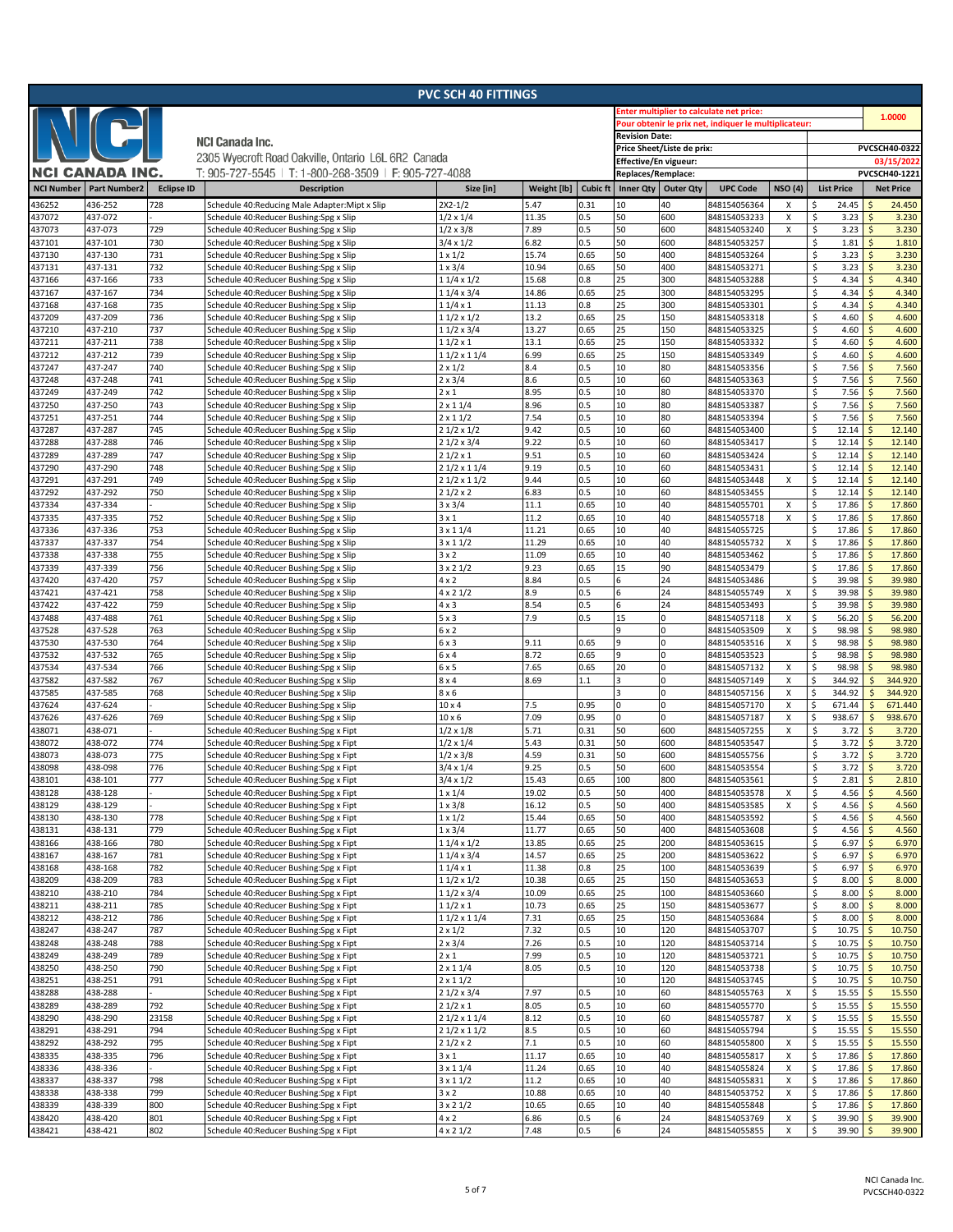|                   |                        |                   |                                                                                  | <b>PVC SCH 40 FITTINGS</b>               |                |                 |                                                       |                            |                                                 |                           |                              |            |                                                 |
|-------------------|------------------------|-------------------|----------------------------------------------------------------------------------|------------------------------------------|----------------|-----------------|-------------------------------------------------------|----------------------------|-------------------------------------------------|---------------------------|------------------------------|------------|-------------------------------------------------|
|                   |                        |                   |                                                                                  |                                          |                |                 |                                                       |                            | <b>Enter multiplier to calculate net price:</b> |                           |                              |            | 1.0000                                          |
|                   | $N$ ( $C$ )            |                   |                                                                                  |                                          |                |                 | Pour obtenir le prix net, indiquer le multiplicateur: |                            |                                                 |                           |                              |            |                                                 |
|                   |                        |                   | <b>NCI Canada Inc.</b>                                                           |                                          |                |                 | <b>Revision Date:</b>                                 |                            |                                                 |                           |                              |            |                                                 |
|                   |                        |                   | 2305 Wyecroft Road Oakville, Ontario L6L 6R2 Canada                              |                                          |                |                 |                                                       | Price Sheet/Liste de prix: |                                                 |                           |                              |            | PVCSCH40-0322                                   |
|                   | <b>NCI CANADA INC.</b> |                   |                                                                                  |                                          |                |                 | Effective/En vigueur:                                 |                            |                                                 |                           |                              |            | 03/15/2022                                      |
|                   |                        |                   | T: 905-727-5545   T: 1-800-268-3509   F: 905-727-4088                            |                                          |                |                 | Replaces/Remplace:                                    |                            |                                                 |                           |                              |            | PVCSCH40-1221                                   |
| <b>NCI Number</b> | <b>Part Number2</b>    | <b>Eclipse ID</b> | <b>Description</b>                                                               | Size [in]                                | Weight [lb]    | <b>Cubic ft</b> | Inner Qty                                             | <b>Outer Qty</b>           | <b>UPC Code</b>                                 | <b>NSO (4)</b>            | <b>List Price</b>            |            | <b>Net Price</b>                                |
| 436252            | 436-252                | 728               | Schedule 40:Reducing Male Adapter:Mipt x Slip                                    | $2X2 - 1/2$                              | 5.47           | 0.31            | 10                                                    | 40                         | 848154056364                                    | X                         | 24.45<br>Ś                   |            | 24.450                                          |
| 437072            | 437-072                |                   | Schedule 40:Reducer Bushing:Spg x Slip                                           | $1/2 \times 1/4$                         | 11.35          | 0.5             | 50                                                    | 600                        | 848154053233                                    | $\boldsymbol{\mathsf{x}}$ | \$.<br>3.23                  |            | <sup>5</sup><br>3.230                           |
| 437073            | 437-073                | 729               | Schedule 40:Reducer Bushing:Spg x Slip                                           | $1/2 \times 3/8$                         | 7.89           | 0.5             | 50                                                    | 600                        | 848154053240                                    | X                         | \$<br>3.23                   |            | $\mathsf{S}$<br>3.230<br>Ś                      |
| 437101<br>437130  | 437-101<br>437-130     | 730<br>731        | Schedule 40:Reducer Bushing:Spg x Slip<br>Schedule 40:Reducer Bushing:Spg x Slip | $3/4 \times 1/2$<br>$1 \times 1/2$       | 6.82<br>15.74  | 0.5<br>0.65     | 50<br>50                                              | 600<br>400                 | 848154053257<br>848154053264                    |                           | \$<br>1.81<br>\$<br>3.23     |            | 1.810<br>3.230<br>Ŝ                             |
| 437131            | 437-131                | 732               | Schedule 40:Reducer Bushing:Spg x Slip                                           | 1 × 3/4                                  | 10.94          | 0.65            | 50                                                    | 400                        | 848154053271                                    |                           | \$<br>3.23                   |            | 3.230<br>Ŝ                                      |
| 437166            | 437-166                | 733               | Schedule 40:Reducer Bushing:Spg x Slip                                           | $\frac{1}{11}{4 \times 1}{2}$            | 15.68          | 0.8             | 25                                                    | 300                        | 848154053288                                    |                           | \$<br>4.34                   |            | Ś<br>4.340                                      |
| 437167            | 437-167                | 734               | Schedule 40:Reducer Bushing:Spg x Slip                                           | 11/4 x 3/4                               | 14.86          | 0.65            | 25                                                    | 300                        | 848154053295                                    |                           | \$<br>4.34                   |            | 4.340<br>Ś                                      |
| 437168            | 437-168                | 735               | Schedule 40:Reducer Bushing:Spg x Slip                                           | $11/4 \times 1$                          | 11.13          | 0.8             | 25                                                    | 300                        | 848154053301                                    |                           | \$<br>4.34                   |            | 4.340<br>Ś                                      |
| 437209            | 437-209                | 736               | Schedule 40:Reducer Bushing:Spg x Slip                                           | $11/2 \times 1/2$                        | 13.2           | 0.65            | 25                                                    | 150                        | 848154053318                                    |                           | \$<br>4.60                   |            | $\zeta$<br>4.600                                |
| 437210            | 437-210                | 737               | Schedule 40:Reducer Bushing:Spg x Slip                                           | 11/2 x 3/4                               | 13.27          | 0.65            | 25                                                    | 150                        | 848154053325                                    |                           | \$<br>4.60                   |            | 4.600<br>Ś                                      |
| 437211            | 437-211                | 738               | Schedule 40:Reducer Bushing:Spg x Slip                                           | $11/2 \times 1$                          | 13.1           | 0.65            | 25                                                    | 150                        | 848154053332                                    |                           | \$<br>4.60                   |            | <sub>S</sub><br>4.600                           |
| 437212            | 437-212                | 739               | Schedule 40:Reducer Bushing:Spg x Slip                                           | $11/2 \times 11/4$                       | 6.99           | 0.65            | 25                                                    | 150                        | 848154053349                                    |                           | \$<br>4.60                   |            | $\zeta$<br>4.600                                |
| 437247            | 437-247                | 740               | Schedule 40:Reducer Bushing:Spg x Slip                                           | $2 \times 1/2$                           | 8.4            | 0.5             | 10                                                    | 80                         | 848154053356                                    |                           | \$<br>7.56                   |            | 7.560<br>Ŝ                                      |
| 437248            | 437-248                | 741               | Schedule 40:Reducer Bushing:Spg x Slip                                           | $2 \times 3/4$                           | 8.6            | 0.5             | 10                                                    | 60                         | 848154053363                                    |                           | \$<br>7.56                   |            | 7.560<br>$\mathsf{\hat{S}}$                     |
| 437249<br>437250  | 437-249<br>437-250     | 742<br>743        | Schedule 40:Reducer Bushing:Spg x Slip                                           | $2 \times 1$<br>$2 \times 11/4$          | 8.95<br>8.96   | 0.5<br>0.5      | 10<br>10                                              | 80<br>80                   | 848154053370                                    |                           | \$<br>7.56<br>\$<br>7.56     |            | Ś<br>7.560<br>7.560<br>Ś                        |
| 437251            | 437-251                | 744               | Schedule 40:Reducer Bushing:Spg x Slip<br>Schedule 40:Reducer Bushing:Spg x Slip | $2 \times 11/2$                          | 7.54           | 0.5             | 10                                                    | 80                         | 848154053387<br>848154053394                    |                           | \$<br>7.56                   |            | 7.560<br>$\mathsf{\hat{S}}$                     |
| 437287            | 437-287                | 745               | Schedule 40:Reducer Bushing:Spg x Slip                                           | $21/2 \times 1/2$                        | 9.42           | 0.5             | 10                                                    | 60                         | 848154053400                                    |                           | \$<br>12.14                  |            | 12.140                                          |
| 437288            | 437-288                | 746               | Schedule 40:Reducer Bushing:Spg x Slip                                           | $21/2 \times 3/4$                        | 9.22           | 0.5             | 10                                                    | 60                         | 848154053417                                    |                           | Ś<br>12.14                   |            | 12.140                                          |
| 437289            | 437-289                | 747               | Schedule 40:Reducer Bushing:Spg x Slip                                           | $21/2 \times 1$                          | 9.51           | 0.5             | 10                                                    | 60                         | 848154053424                                    |                           | \$<br>12.14                  |            | 12.140<br>Ŝ                                     |
| 437290            | 437-290                | 748               | Schedule 40:Reducer Bushing:Spg x Slip                                           | $21/2 \times 11/4$                       | 9.19           | 0.5             | 10                                                    | 60                         | 848154053431                                    |                           | \$<br>12.14                  |            | 12.140                                          |
| 437291            | 437-291                | 749               | Schedule 40:Reducer Bushing:Spg x Slip                                           | 2 1/2 x 1 1/2                            | 9.44           | 0.5             | 10                                                    | 60                         | 848154053448                                    | X                         | \$<br>12.14                  |            | 12.140                                          |
| 437292            | 437-292                | 750               | Schedule 40:Reducer Bushing:Spg x Slip                                           | 21/2x2                                   | 6.83           | 0.5             | 10                                                    | 60                         | 848154053455                                    |                           | \$<br>12.14                  |            | 12.140<br>Ŝ                                     |
| 437334            | 437-334                |                   | Schedule 40:Reducer Bushing:Spg x Slip                                           | $3 \times 3/4$                           | 11.1           | 0.65            | 10                                                    | 40                         | 848154055701                                    | X                         | \$<br>17.86                  |            | 17.860<br>Ŝ                                     |
| 437335            | 437-335                | 752               | Schedule 40:Reducer Bushing:Spg x Slip                                           | $3 \times 1$                             | 11.2           | 0.65            | 10                                                    | 40                         | 848154055718                                    | X                         | \$<br>17.86                  |            | 17.860<br>Ś                                     |
| 437336            | 437-336                | 753               | Schedule 40:Reducer Bushing:Spg x Slip                                           | $3 \times 11/4$                          | 11.21          | 0.65            | 10                                                    | 40                         | 848154055725                                    |                           | \$<br>17.86                  |            | 17.860<br>Ŝ                                     |
| 437337            | 437-337                | 754<br>755        | Schedule 40:Reducer Bushing:Spg x Slip                                           | $3 \times 11/2$                          | 11.29<br>11.09 | 0.65<br>0.65    | 10<br>10                                              | 40<br>40                   | 848154055732                                    | х                         | \$<br>17.86<br>17.86         |            | 17.860<br>Ś<br>17.860<br>Ś                      |
| 437338<br>437339  | 437-338<br>437-339     | 756               | Schedule 40:Reducer Bushing:Spg x Slip<br>Schedule 40:Reducer Bushing:Spg x Slip | $3 \times 2$<br>$3 \times 2 \frac{1}{2}$ | 9.23           | 0.65            | 15                                                    | 90                         | 848154053462<br>848154053479                    |                           | \$<br>\$<br>17.86            |            | 17.860<br>Ś                                     |
| 437420            | 437-420                | 757               | Schedule 40:Reducer Bushing:Spg x Slip                                           | $4 \times 2$                             | 8.84           | 0.5             | 6                                                     | 24                         | 848154053486                                    |                           | \$<br>39.98                  |            | 39.980                                          |
| 437421            | 437-421                | 758               | Schedule 40:Reducer Bushing:Spg x Slip                                           | $4 \times 21/2$                          | 8.9            | 0.5             | 6                                                     | 24                         | 848154055749                                    | X                         | \$<br>39.98                  |            | 39.980                                          |
| 437422            | 437-422                | 759               | Schedule 40:Reducer Bushing:Spg x Slip                                           | $4 \times 3$                             | 8.54           | 0.5             | 6                                                     | 24                         | 848154053493                                    |                           | \$<br>39.98                  |            | 39.980<br>Ŝ                                     |
| 437488            | 437-488                | 761               | Schedule 40:Reducer Bushing:Spg x Slip                                           | $5 \times 3$                             | 7.9            | 0.5             | 15                                                    | $\mathsf{O}$               | 848154057118                                    | х                         | \$<br>56.20                  |            | 56.200                                          |
| 437528            | 437-528                | 763               | Schedule 40:Reducer Bushing:Spg x Slip                                           | 6x2                                      |                |                 |                                                       | $\mathbf 0$                | 848154053509                                    | X                         | \$<br>98.98                  |            | 98.980<br>Ŝ                                     |
| 437530            | 437-530                | 764               | Schedule 40:Reducer Bushing:Spg x Slip                                           | $6 \times 3$                             | 9.11           | 0.65            | 9                                                     | $\mathsf{O}$               | 848154053516                                    | X                         | \$<br>98.98                  |            | 98.980<br>Ŝ                                     |
| 437532            | 437-532                | 765               | Schedule 40:Reducer Bushing:Spg x Slip                                           | 6 × 4                                    | 8.72           | 0.65            | 9                                                     | $\mathbf{0}$               | 848154053523                                    |                           | \$<br>98.98                  |            | 98.980<br>Ś                                     |
| 437534            | 437-534                | 766               | Schedule 40:Reducer Bushing:Spg x Slip                                           | 6x5                                      | 7.65           | 0.65            | 20                                                    | $\mathbf 0$                | 848154057132                                    | Χ                         | \$<br>98.98                  |            | 98.980                                          |
| 437582            | 437-582                | 767               | Schedule 40:Reducer Bushing:Spg x Slip                                           | $8 \times 4$                             | 8.69           | 1.1             | $\overline{\mathbf{3}}$                               | $\pmb{0}$                  | 848154057149                                    | X                         | \$<br>344.92                 |            | 344.920<br>Ś                                    |
| 437585            | 437-585                | 768               | Schedule 40:Reducer Bushing:Spg x Slip                                           | $8 \times 6$                             |                |                 | 3                                                     | $\mathbf 0$                | 848154057156                                    | X                         | \$<br>344.92                 |            | 344.920                                         |
| 437624<br>437626  | 437-624<br>437-626     | 769               | Schedule 40:Reducer Bushing:Spg x Slip<br>Schedule 40:Reducer Bushing:Spg x Slip | $10 \times 4$<br>$10 \times 6$           | 7.5<br>7.09    | 0.95<br>0.95    |                                                       | $\pmb{0}$<br>$\pmb{0}$     | 848154057170<br>848154057187                    | X<br>X                    | 671.44<br>\$<br>\$<br>938.67 |            | 671.440<br>938.670                              |
| 438071            | 438-071                |                   | Schedule 40:Reducer Bushing:Spg x Fipt                                           | $1/2 \times 1/8$                         | 5.71           | 0.31            | 50                                                    | 600                        | 848154057255                                    | X                         | \$<br>3.72                   |            | 3.720<br>S.                                     |
| 438072            | 438-072                | 774               | Schedule 40:Reducer Bushing:Spg x Fipt                                           | $1/2 \times 1/4$                         | 5.43           | 0.31            | 50                                                    | 600                        | 848154053547                                    |                           | \$<br>3.72                   |            | 3.720<br>Ŝ                                      |
| 438073            | 438-073                | 775               | Schedule 40:Reducer Bushing:Spg x Fipt                                           | $1/2 \times 3/8$                         | 4.59           | 0.31            | 50                                                    | 600                        | 848154055756                                    |                           | \$<br>3.72                   |            | <sub>S</sub><br>3.720                           |
| 438098            | 438-098                | 776               | Schedule 40:Reducer Bushing:Spg x Fipt                                           | $3/4 \times 1/4$                         | 9.25           | 0.5             | 50                                                    | 600                        | 848154053554                                    |                           | \$<br>3.72                   |            | 3.720<br><sub>S</sub>                           |
| 438101            | 438-101                | 777               | Schedule 40:Reducer Bushing:Spg x Fipt                                           | $3/4 \times 1/2$                         | 15.43          | 0.65            | 100                                                   | 800                        | 848154053561                                    |                           | \$<br>2.81                   |            | 2.810<br>$\zeta$                                |
| 438128            | 438-128                |                   | Schedule 40:Reducer Bushing:Spg x Fipt                                           | $1 \times 1/4$                           | 19.02          | 0.5             | 50                                                    | 400                        | 848154053578                                    | х                         | \$                           | 4.56       | $\ddot{\mathsf{S}}$<br>4.560                    |
| 438129            | 438-129                |                   | Schedule 40:Reducer Bushing:Spg x Fipt                                           | $1 \times 3/8$                           | 16.12          | 0.5             | 50                                                    | 400                        | 848154053585                                    | X                         | \$<br>4.56                   |            | $\zeta$<br>4.560                                |
| 438130            | 438-130                | 778               | Schedule 40:Reducer Bushing:Spg x Fipt                                           | $1 \times 1/2$                           | 15.44          | 0.65            | 50                                                    | 400                        | 848154053592                                    |                           | \$<br>4.56                   |            | $\ddot{\mathsf{S}}$<br>4.560                    |
| 438131<br>438166  | 438-131<br>438-166     | 779<br>780        | Schedule 40:Reducer Bushing:Spg x Fipt<br>Schedule 40:Reducer Bushing:Spg x Fipt | $1 \times 3/4$<br>$11/4 \times 1/2$      | 11.77<br>13.85 | 0.65<br>0.65    | 50<br>25                                              | 400<br>200                 | 848154053608<br>848154053615                    |                           | \$<br>4.56<br>\$<br>6.97     |            | $\mathsf{\hat{S}}$<br>4.560<br>$\zeta$<br>6.970 |
| 438167            | 438-167                | 781               | Schedule 40:Reducer Bushing:Spg x Fipt                                           | 11/4 x 3/4                               | 14.57          | 0.65            | 25                                                    | 200                        | 848154053622                                    |                           | \$<br>6.97                   |            | 6.970<br>$\zeta$                                |
| 438168            | 438-168                | 782               | Schedule 40:Reducer Bushing:Spg x Fipt                                           | $11/4 \times 1$                          | 11.38          | 0.8             | 25                                                    | 100                        | 848154053639                                    |                           | \$<br>6.97                   |            | $\mathsf{\hat{S}}$<br>6.970                     |
| 438209            | 438-209                | 783               | Schedule 40:Reducer Bushing:Spg x Fipt                                           | 1 1/2 x 1/2                              | 10.38          | 0.65            | 25                                                    | 150                        | 848154053653                                    |                           | \$<br>8.00                   |            | 8.000<br>$\mathsf{S}$                           |
| 438210            | 438-210                | 784               | Schedule 40:Reducer Bushing:Spg x Fipt                                           | 11/2 x 3/4                               | 10.09          | 0.65            | 25                                                    | 100                        | 848154053660                                    |                           | \$<br>8.00                   |            | $\zeta$<br>8.000                                |
| 438211            | 438-211                | 785               | Schedule 40:Reducer Bushing:Spg x Fipt                                           | $11/2 \times 1$                          | 10.73          | 0.65            | 25                                                    | 150                        | 848154053677                                    |                           | \$<br>8.00                   |            | $\mathsf{\hat{S}}$<br>8.000                     |
| 438212            | 438-212                | 786               | Schedule 40:Reducer Bushing:Spg x Fipt                                           | 1 1/2 x 1 1/4                            | 7.31           | 0.65            | 25                                                    | 150                        | 848154053684                                    |                           | \$<br>8.00                   |            | 8.000<br>$\zeta$                                |
| 438247            | 438-247                | 787               | Schedule 40:Reducer Bushing:Spg x Fipt                                           | $2 \times 1/2$                           | 7.32           | 0.5             | 10                                                    | 120                        | 848154053707                                    |                           | \$<br>10.75                  |            | $\zeta$<br>10.750                               |
| 438248            | 438-248                | 788               | Schedule 40:Reducer Bushing:Spg x Fipt                                           | $2 \times 3/4$                           | 7.26           | 0.5             | 10                                                    | 120                        | 848154053714                                    |                           | \$<br>10.75                  |            | $\mathsf{\hat{S}}$<br>10.750                    |
| 438249            | 438-249                | 789               | Schedule 40:Reducer Bushing:Spg x Fipt                                           | $2 \times 1$                             | 7.99           | 0.5             | 10                                                    | 120                        | 848154053721                                    |                           | \$<br>10.75                  |            | 10.750<br>\$                                    |
| 438250            | 438-250                | 790<br>791        | Schedule 40:Reducer Bushing:Spg x Fipt                                           | $2 \times 11/4$                          | 8.05           | 0.5             | 10<br>10                                              | 120<br>120                 | 848154053738                                    |                           | \$                           | $10.75$ \$ | 10.750<br>Ŝ                                     |
| 438251<br>438288  | 438-251<br>438-288     |                   | Schedule 40:Reducer Bushing:Spg x Fipt<br>Schedule 40:Reducer Bushing:Spg x Fipt | $2 \times 11/2$<br>$21/2 \times 3/4$     | 7.97           | 0.5             | 10                                                    | 60                         | 848154053745<br>848154055763                    | X                         | \$<br>10.75<br>\$<br>15.55   |            | 10.750<br>15.550<br>Ŝ                           |
| 438289            | 438-289                | 792               | Schedule 40:Reducer Bushing:Spg x Fipt                                           | $21/2 \times 1$                          | 8.05           | 0.5             | 10                                                    | 60                         | 848154055770                                    |                           | \$<br>15.55                  |            | 15.550<br>$\mathsf{S}$                          |
| 438290            | 438-290                | 23158             | Schedule 40:Reducer Bushing:Spg x Fipt                                           | 2 1/2 x 1 1/4                            | 8.12           | 0.5             | 10                                                    | 60                         | 848154055787                                    | x                         | \$<br>15.55                  |            | 15.550<br>Ś                                     |
| 438291            | 438-291                | 794               | Schedule 40:Reducer Bushing:Spg x Fipt                                           | 2 1/2 x 1 1/2                            | 8.5            | 0.5             | 10                                                    | 60                         | 848154055794                                    |                           | \$<br>15.55                  |            | 15.550<br>Ŝ                                     |
| 438292            | 438-292                | 795               | Schedule 40:Reducer Bushing:Spg x Fipt                                           | 21/2x2                                   | 7.1            | 0.5             | 10                                                    | 60                         | 848154055800                                    | Х                         | \$<br>15.55                  |            | 15.550<br>$\mathsf{S}$                          |
| 438335            | 438-335                | 796               | Schedule 40:Reducer Bushing:Spg x Fipt                                           | $3 \times 1$                             | 11.17          | 0.65            | 10                                                    | 40                         | 848154055817                                    | X                         | \$<br>17.86                  |            | 17.860                                          |
| 438336            | 438-336                |                   | Schedule 40:Reducer Bushing:Spg x Fipt                                           | $3 \times 11/4$                          | 11.24          | 0.65            | 10                                                    | 40                         | 848154055824                                    | Χ                         | \$<br>17.86                  |            | 17.860<br>Ŝ                                     |
| 438337            | 438-337                | 798               | Schedule 40:Reducer Bushing:Spg x Fipt                                           | $3 \times 11/2$                          | 11.2           | 0.65            | 10                                                    | 40                         | 848154055831                                    | Х                         | \$<br>17.86                  |            | 17.860<br>Ŝ                                     |
| 438338            | 438-338                | 799               | Schedule 40:Reducer Bushing:Spg x Fipt                                           | $3 \times 2$                             | 10.88          | 0.65            | 10                                                    | 40                         | 848154053752                                    | x                         | \$<br>17.86                  |            | 17.860<br>Ś                                     |
| 438339            | 438-339                | 800<br>801        | Schedule 40:Reducer Bushing:Spg x Fipt                                           | $3 \times 2 \frac{1}{2}$                 | 10.65          | 0.65<br>0.5     | 10                                                    | 40                         | 848154055848                                    |                           | \$<br>17.86                  |            | Ŝ<br>17.860<br>39.900                           |
| 438420<br>438421  | 438-420<br>438-421     | 802               | Schedule 40:Reducer Bushing:Spg x Fipt<br>Schedule 40:Reducer Bushing:Spg x Fipt | $4 \times 2$<br>4 x 2 1/2                | 6.86<br>7.48   | 0.5             | 6<br>$6\phantom{.}6$                                  | 24<br>24                   | 848154053769<br>848154055855                    | х<br>X                    | \$<br>39.90<br>\$<br>39.90   |            | $\zeta$<br>$\mathsf{\hat{S}}$<br>39.900         |
|                   |                        |                   |                                                                                  |                                          |                |                 |                                                       |                            |                                                 |                           |                              |            |                                                 |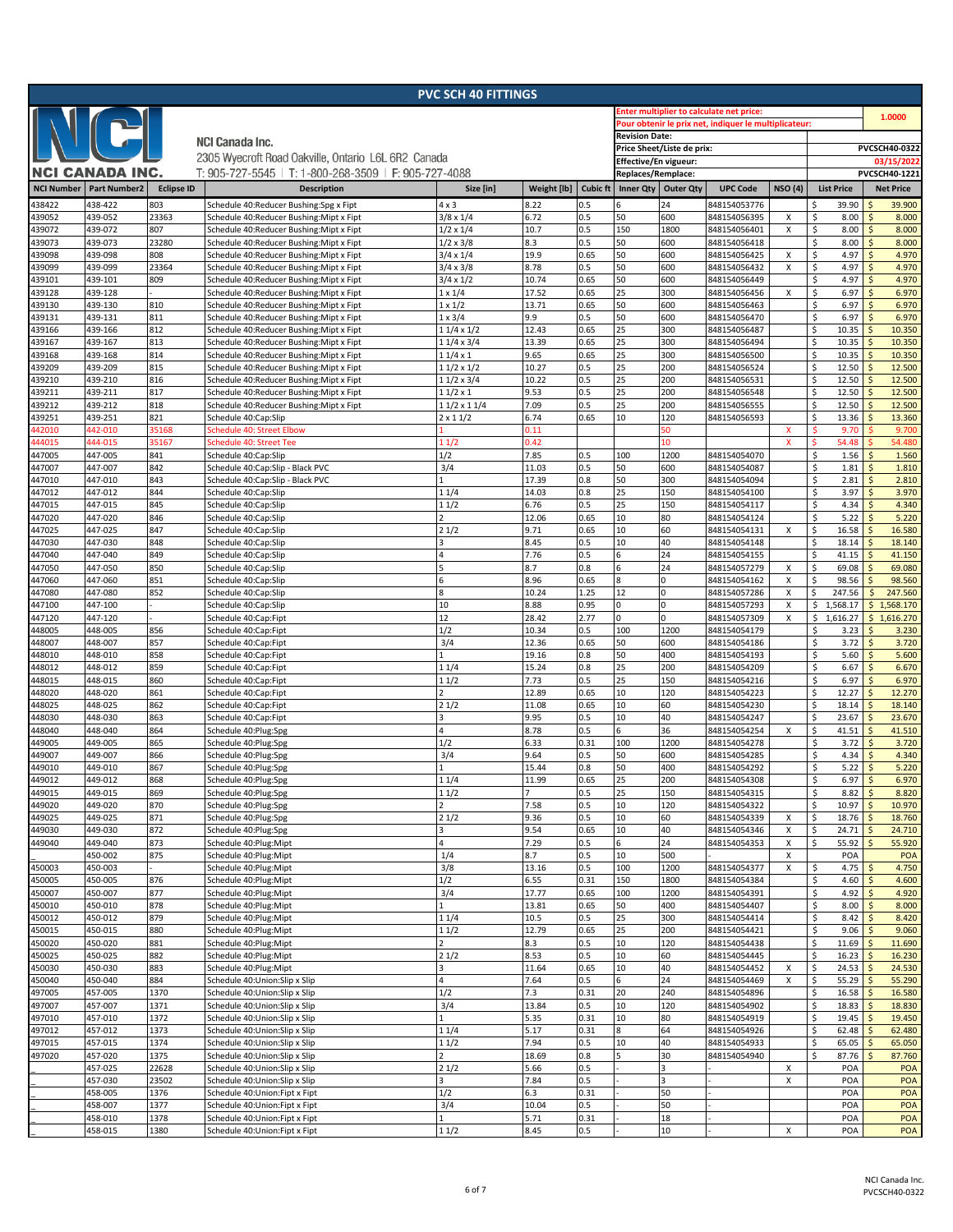|                   |                        |                   |                                                                                    | <b>PVC SCH 40 FITTINGS</b>           |                |                 |                                                       |                     |                              |                           |                              |                                             |
|-------------------|------------------------|-------------------|------------------------------------------------------------------------------------|--------------------------------------|----------------|-----------------|-------------------------------------------------------|---------------------|------------------------------|---------------------------|------------------------------|---------------------------------------------|
|                   |                        |                   |                                                                                    |                                      |                |                 | <b>Enter multiplier to calculate net price:</b>       | 1.0000              |                              |                           |                              |                                             |
| I                 | NG.                    |                   |                                                                                    |                                      |                |                 | Pour obtenir le prix net, indiquer le multiplicateur: |                     |                              |                           |                              |                                             |
|                   |                        |                   | <b>NCI Canada Inc.</b>                                                             | <b>Revision Date:</b>                |                |                 |                                                       |                     |                              |                           |                              |                                             |
|                   |                        |                   | 2305 Wyecroft Road Oakville, Ontario L6L 6R2 Canada                                |                                      |                |                 | Price Sheet/Liste de prix:                            |                     | PVCSCH40-0322                |                           |                              |                                             |
|                   | <b>NCI CANADA INC.</b> |                   | T: 905-727-5545   T: 1-800-268-3509   F: 905-727-4088                              |                                      |                |                 | Effective/En vigueur:<br>Replaces/Remplace:           |                     |                              |                           | 03/15/2022<br>PVCSCH40-1221  |                                             |
| <b>NCI Number</b> | <b>Part Number2</b>    | <b>Eclipse ID</b> | <b>Description</b>                                                                 | Size [in]                            | Weight [lb]    | <b>Cubic ft</b> | <b>Inner Qty</b>                                      | <b>Outer Qty</b>    | <b>UPC Code</b>              | <b>NSO (4)</b>            | <b>List Price</b>            | <b>Net Price</b>                            |
|                   |                        |                   |                                                                                    |                                      |                |                 |                                                       |                     |                              |                           |                              |                                             |
| 438422<br>439052  | 438-422<br>439-052     | 803<br>23363      | Schedule 40:Reducer Bushing:Spg x Fipt                                             | $4 \times 3$<br>$3/8 \times 1/4$     | 8.22<br>6.72   | 0.5<br>0.5      | 50                                                    | 24<br>600           | 848154053776                 | X                         | 39.90<br>\$<br>\$<br>8.00    | 39.900<br>8.000<br>Ś                        |
| 439072            | 439-072                | 807               | Schedule 40:Reducer Bushing:Mipt x Fipt<br>Schedule 40:Reducer Bushing:Mipt x Fipt | $1/2 \times 1/4$                     | 10.7           | 0.5             | 150                                                   | 1800                | 848154056395<br>848154056401 | $\mathsf{x}$              | \$<br>8.00                   | <sub>S</sub><br>8.000                       |
| 439073            | 439-073                | 23280             | Schedule 40:Reducer Bushing:Mipt x Fipt                                            | $1/2 \times 3/8$                     | 8.3            | 0.5             | 50                                                    | 600                 | 848154056418                 |                           | \$<br>8.00                   | 8.000                                       |
| 439098            | 439-098                | 808               | Schedule 40:Reducer Bushing:Mipt x Fipt                                            | $3/4 \times 1/4$                     | 19.9           | 0.65            | 50                                                    | 600                 | 848154056425                 | х                         | \$<br>4.97                   | Ś<br>4.970                                  |
| 439099            | 439-099                | 23364             | Schedule 40:Reducer Bushing:Mipt x Fipt                                            | $3/4 \times 3/8$                     | 8.78           | 0.5             | 50                                                    | 600                 | 848154056432                 | X                         | \$<br>4.97                   | <sub>S</sub><br>4.970                       |
| 439101            | 439-101                | 809               | Schedule 40:Reducer Bushing:Mipt x Fipt                                            | $3/4 \times 1/2$                     | 10.74          | 0.65            | 50                                                    | 600                 | 848154056449                 |                           | \$<br>4.97                   | 4.970<br>Ś                                  |
| 439128            | 439-128                |                   | Schedule 40:Reducer Bushing:Mipt x Fipt                                            | $1 \times 1/4$                       | 17.52          | 0.65            | 25                                                    | 300                 | 848154056456                 | х                         | \$<br>6.97                   | 6.970<br>Ś                                  |
| 439130            | 439-130                | 810               | Schedule 40:Reducer Bushing:Mipt x Fipt                                            | $1 \times 1/2$                       | 13.71          | 0.65            | 50                                                    | 600                 | 848154056463                 |                           | \$<br>6.97                   | <sub>S</sub><br>6.970                       |
| 439131            | 439-131                | 811               | Schedule 40:Reducer Bushing:Mipt x Fipt                                            | $1 \times 3/4$                       | 9.9            | 0.5             | 50                                                    | 600                 | 848154056470                 |                           | \$<br>6.97                   | 6.970<br>Ś                                  |
| 439166            | 439-166                | 812               | Schedule 40:Reducer Bushing:Mipt x Fipt                                            | $11/4 \times 1/2$                    | 12.43          | 0.65            | 25                                                    | 300                 | 848154056487                 |                           | \$<br>10.35                  | 10.350<br>Ś                                 |
| 439167            | 439-167                | 813<br>814        | Schedule 40:Reducer Bushing:Mipt x Fipt                                            | $11/4 \times 3/4$<br>$11/4 \times 1$ | 13.39<br>9.65  | 0.65<br>0.65    | 25<br>25                                              | 300<br>300          | 848154056494                 |                           | \$<br>10.35<br>\$<br>10.35   | 10.350<br>Ś<br>Ś<br>10.350                  |
| 439168<br>439209  | 439-168<br>439-209     | 815               | Schedule 40:Reducer Bushing:Mipt x Fipt<br>Schedule 40:Reducer Bushing:Mipt x Fipt | $11/2 \times 1/2$                    | 10.27          | 0.5             | 25                                                    | 200                 | 848154056500<br>848154056524 |                           | \$<br>12.50                  | 12.500                                      |
| 439210            | 439-210                | 816               | Schedule 40:Reducer Bushing:Mipt x Fipt                                            | 11/2 x 3/4                           | 10.22          | 0.5             | 25                                                    | 200                 | 848154056531                 |                           | \$<br>12.50                  | 12.500<br>Ŝ                                 |
| 439211            | 439-211                | 817               | Schedule 40:Reducer Bushing:Mipt x Fipt                                            | $11/2 \times 1$                      | 9.53           | 0.5             | 25                                                    | 200                 | 848154056548                 |                           | \$<br>12.50                  | Ś<br>12.500                                 |
| 439212            | 439-212                | 818               | Schedule 40:Reducer Bushing:Mipt x Fipt                                            | 1 1/2 x 1 1/4                        | 7.09           | 0.5             | 25                                                    | 200                 | 848154056555                 |                           | \$<br>12.50                  | 12.500<br>$\ddot{\varsigma}$                |
| 439251            | 439-251                | 821               | Schedule 40:Cap:Slip                                                               | $2 \times 11/2$                      | 6.74           | 0.65            | 10                                                    | 120                 | 848154056593                 |                           | \$<br>13.36                  | 13.360<br>Ŝ                                 |
| 442010            | 442-010                | 35168             | <b>Schedule 40: Street Elbow</b>                                                   |                                      | 0.11           |                 |                                                       | 50                  |                              | x                         | Ś<br>9.70                    | 9.700                                       |
| 144015            | 444-015                | 35167             | Schedule 40: Street Tee                                                            | 1 1/2                                | 0.42           |                 |                                                       | 10                  |                              | $\mathsf{x}$              | \$<br>54.48                  | 54.480                                      |
| 447005            | 447-005                | 841               | Schedule 40:Cap:Slip                                                               | 1/2                                  | 7.85           | 0.5             | 100                                                   | 1200                | 848154054070                 |                           | \$<br>1.56                   | 1.560<br>Ŝ                                  |
| 447007            | 447-007                | 842               | Schedule 40:Cap:Slip - Black PVC                                                   | 3/4                                  | 11.03          | 0.5             | 50                                                    | 600                 | 848154054087                 |                           | \$<br>1.81                   | 1.810<br>Ś                                  |
| 447010            | 447-010<br>447-012     | 843<br>844        | Schedule 40:Cap:Slip - Black PVC                                                   | 11/4                                 | 17.39<br>14.03 | 0.8<br>0.8      | 50<br>25                                              | 300<br>150          | 848154054094                 |                           | \$<br>2.81<br>\$<br>3.97     | 2.810<br>Ŝ<br><sub>S</sub><br>3.970         |
| 447012<br>447015  | 447-015                | 845               | Schedule 40:Cap:Slip<br>Schedule 40:Cap:Slip                                       | 11/2                                 | 6.76           | 0.5             | 25                                                    | 150                 | 848154054100<br>848154054117 |                           | \$<br>4.34                   | 4.340<br>Ś                                  |
| 447020            | 447-020                | 846               | Schedule 40:Cap:Slip                                                               |                                      | 12.06          | 0.65            | 10                                                    | 80                  | 848154054124                 |                           | \$<br>5.22                   | 5.220<br>Ś                                  |
| 447025            | 447-025                | 847               | Schedule 40:Cap:Slip                                                               | 21/2                                 | 9.71           | 0.65            | 10                                                    | 60                  | 848154054131                 | X                         | \$<br>16.58                  | 16.580<br>Ś                                 |
| 447030            | 447-030                | 848               | Schedule 40:Cap:Slip                                                               |                                      | 8.45           | 0.5             | 10                                                    | 40                  | 848154054148                 |                           | \$<br>18.14                  | 18.140<br>S                                 |
| 447040            | 447-040                | 849               | Schedule 40:Cap:Slip                                                               |                                      | 7.76           | 0.5             | 6                                                     | 24                  | 848154054155                 |                           | \$<br>41.15                  | 41.150<br>Ŝ                                 |
| 447050            | 447-050                | 850               | Schedule 40:Cap:Slip                                                               |                                      | 8.7            | 0.8             | 6                                                     | 24                  | 848154057279                 | х                         | Ś<br>69.08                   | 69.080                                      |
| 447060            | 447-060                | 851               | Schedule 40:Cap:Slip                                                               | 6                                    | 8.96           | 0.65            | 8                                                     | $\mathbf 0$         | 848154054162                 | $\boldsymbol{\mathsf{x}}$ | \$<br>98.56                  | 98.560<br>S                                 |
| 447080            | 447-080                | 852               | Schedule 40:Cap:Slip                                                               | 8                                    | 10.24          | 1.25            | 12                                                    | $\mathsf{O}$        | 848154057286                 | X                         | \$<br>247.56                 | 247.560<br>Ś                                |
| 447100            | 447-100                |                   | Schedule 40:Cap:Slip                                                               | 10                                   | 8.88           | 0.95            |                                                       | $\mathbf{0}$        | 848154057293                 | Χ                         | \$<br>1,568.17               | \$<br>1,568.170                             |
| 447120            | 447-120                | 856               | Schedule 40:Cap:Fipt                                                               | 12<br>1/2                            | 28.42<br>10.34 | 2.77<br>0.5     | $\Omega$<br>100                                       | $\mathbf 0$<br>1200 | 848154057309                 | X                         | \$<br>1,616.27<br>\$<br>3.23 | $\frac{1}{2}$<br>1,616.270<br>Ś             |
| 448005<br>448007  | 448-005<br>448-007     | 857               | Schedule 40:Cap:Fipt<br>Schedule 40:Cap:Fipt                                       | 3/4                                  | 12.36          | 0.65            | 50                                                    | 600                 | 848154054179<br>848154054186 |                           | \$<br>3.72                   | 3.230<br>Ś<br>3.720                         |
| 448010            | 448-010                | 858               | Schedule 40:Cap:Fipt                                                               |                                      | 19.16          | 0.8             | 50                                                    | 400                 | 848154054193                 |                           | \$<br>5.60                   | 5.600<br>Ś                                  |
| 448012            | 448-012                | 859               | Schedule 40:Cap:Fipt                                                               | 1 1/4                                | 15.24          | 0.8             | 25                                                    | 200                 | 848154054209                 |                           | \$<br>6.67                   | 6.670<br>Ŝ                                  |
| 448015            | 448-015                | 860               | Schedule 40:Cap:Fipt                                                               | 11/2                                 | 7.73           | 0.5             | 25                                                    | 150                 | 848154054216                 |                           | \$<br>6.97                   | Ś<br>6.970                                  |
| 448020            | 448-020                | 861               | Schedule 40:Cap:Fipt                                                               |                                      | 12.89          | 0.65            | 10                                                    | 120                 | 848154054223                 |                           | \$<br>12.27                  | 12.270<br>Ś                                 |
| 448025            | 448-025                | 862               | Schedule 40:Cap:Fipt                                                               | 21/2                                 | 11.08          | 0.65            | 10                                                    | 60                  | 848154054230                 |                           | \$<br>18.14                  | <sub>S</sub><br>18.140                      |
| 448030            | 448-030                | 863               | Schedule 40:Cap:Fipt                                                               |                                      | 9.95           | 0.5             | 10                                                    | 40                  | 848154054247                 |                           | \$<br>23.67                  | 23.670<br>$\ddot{\varsigma}$                |
| 448040            | 448-040                | 864               | Schedule 40:Plug:Spg                                                               | 4                                    | 8.78           | 0.5             | 6                                                     | 36                  | 848154054254                 | Χ                         | \$<br>41.51                  | 41.510<br>Ŝ                                 |
| 449005            | 449-005                | 865<br>866        | Schedule 40:Plug:Spg                                                               | 1/2<br>3/4                           | 6.33           | 0.31<br>0.5     | 100<br>50                                             | 1200<br>600         | 848154054278<br>848154054285 |                           | \$<br>3.72<br>\$             | 3.720<br>Ŝ<br>4.340<br><sup>5</sup>         |
| 449007<br>449010  | 449-007<br>449-010     | 867               | Schedule 40:Plug:Spg<br>Schedule 40:Plug:Spg                                       |                                      | 9.64<br>15.44  | 0.8             | 50                                                    | 400                 | 848154054292                 |                           | 4.34<br>\$<br>5.22           | 5.220<br>Ŝ                                  |
| 449012            | 449-012                | 868               | Schedule 40:Plug:Spg                                                               | 11/4                                 | 11.99          | 0.65            | 25                                                    | 200                 | 848154054308                 |                           | \$<br>6.97                   | 6.970<br>$\mathsf{S}$                       |
| 449015            | 449-015                | 869               | Schedule 40:Plug:Spg                                                               | 1 1/2                                |                | 0.5             | 25                                                    | 150                 | 848154054315                 |                           | \$<br>8.82                   | $\zeta$<br>8.820                            |
| 449020            | 449-020                | 870               | Schedule 40:Plug:Spg                                                               |                                      | 7.58           | 0.5             | 10                                                    | 120                 | 848154054322                 |                           | \$<br>10.97                  | 10.970<br>Ś                                 |
| 449025            | 449-025                | 871               | Schedule 40:Plug:Spg                                                               | 21/2                                 | 9.36           | 0.5             | 10                                                    | 60                  | 848154054339                 | X                         | \$<br>18.76                  | $\mathsf{\hat{S}}$<br>18.760                |
| 449030            | 449-030                | 872               | Schedule 40:Plug:Spg                                                               |                                      | 9.54           | 0.65            | 10                                                    | 40                  | 848154054346                 | X                         | \$<br>24.71                  | 24.710                                      |
| 449040            | 449-040                | 873               | Schedule 40:Plug:Mipt                                                              |                                      | 7.29           | 0.5             | 6                                                     | 24                  | 848154054353                 | X                         | \$<br>55.92                  | 55.920<br>Ś                                 |
|                   | 450-002                | 875               | Schedule 40:Plug:Mipt                                                              | 1/4                                  | 8.7            | 0.5             | 10                                                    | 500                 |                              | X                         | POA                          | POA                                         |
| 450003            | 450-003                | 876               | Schedule 40:Plug:Mipt                                                              | 3/8                                  | 13.16          | 0.5<br>0.31     | 100<br>150                                            | 1200<br>1800        | 848154054377                 | x                         | \$<br>4.75                   | 4.750<br>Ś                                  |
| 450005<br>450007  | 450-005<br>450-007     | 877               | Schedule 40:Plug:Mipt<br>Schedule 40:Plug:Mipt                                     | 1/2<br>3/4                           | 6.55<br>17.77  | 0.65            | 100                                                   | 1200                | 848154054384<br>848154054391 |                           | \$<br>4.60<br>\$<br>4.92     | 4.600<br>$\zeta$<br>4.920                   |
| 450010            | 450-010                | 878               | Schedule 40:Plug:Mipt                                                              |                                      | 13.81          | 0.65            | 50                                                    | 400                 | 848154054407                 |                           | \$<br>8.00                   | 8.000<br>Ś                                  |
| 450012            | 450-012                | 879               | Schedule 40:Plug:Mipt                                                              | 11/4                                 | 10.5           | 0.5             | 25                                                    | 300                 | 848154054414                 |                           | \$<br>8.42                   | 8.420<br>\$                                 |
| 450015            | 450-015                | 880               | Schedule 40:Plug:Mipt                                                              | 11/2                                 | 12.79          | 0.65            | 25                                                    | 200                 | 848154054421                 |                           | \$<br>9.06                   | $\zeta$<br>9.060                            |
| 450020            | 450-020                | 881               | Schedule 40:Plug:Mipt                                                              |                                      | 8.3            | 0.5             | 10                                                    | 120                 | 848154054438                 |                           | \$<br>11.69                  | 11.690                                      |
| 450025            | 450-025                | 882               | Schedule 40:Plug:Mipt                                                              | 21/2                                 | 8.53           | 0.5             | 10                                                    | 60                  | 848154054445                 |                           | \$<br>16.23                  | 16.230<br>Ŝ                                 |
| 450030            | 450-030                | 883               | Schedule 40:Plug:Mipt                                                              |                                      | 11.64          | 0.65            | $10\,$                                                | 40                  | 848154054452                 | Х                         | \$<br>24.53                  | 24.530<br>Ŝ                                 |
| 450040            | 450-040                | 884               | Schedule 40:Union:Slip x Slip                                                      |                                      | 7.64           | 0.5             | 6                                                     | 24                  | 848154054469                 | х                         | \$<br>55.29                  | 55.290<br>Ś                                 |
| 497005            | 457-005                | 1370              | Schedule 40:Union:Slip x Slip                                                      | 1/2                                  | 7.3            | 0.31            | 20                                                    | 240                 | 848154054896                 |                           | \$<br>16.58                  | 16.580<br>Ś                                 |
| 497007<br>497010  | 457-007<br>457-010     | 1371<br>1372      | Schedule 40:Union:Slip x Slip                                                      | 3/4                                  | 13.84<br>5.35  | 0.5<br>0.31     | $10\,$<br>10                                          | 120<br>80           | 848154054902<br>848154054919 |                           | \$<br>18.83<br>\$<br>19.45   | 18.830<br>Ŝ<br>$\mathsf{\hat{S}}$<br>19.450 |
| 497012            | 457-012                | 1373              | Schedule 40:Union:Slip x Slip<br>Schedule 40:Union:Slip x Slip                     | 11/4                                 | 5.17           | 0.31            | 8                                                     | 64                  | 848154054926                 |                           | \$<br>62.48                  | 62.480<br>Ŝ                                 |
| 497015            | 457-015                | 1374              | Schedule 40:Union:Slip x Slip                                                      | 11/2                                 | 7.94           | 0.5             | 10                                                    | 40                  | 848154054933                 |                           | \$<br>65.05                  | 65.050<br>Ś                                 |
| 497020            | 457-020                | 1375              | Schedule 40:Union:Slip x Slip                                                      |                                      | 18.69          | 0.8             |                                                       | 30                  | 848154054940                 |                           | \$<br>87.76                  | 87.760<br>Ś                                 |
|                   | 457-025                | 22628             | Schedule 40:Union:Slip x Slip                                                      | 21/2                                 | 5.66           | 0.5             |                                                       | 3                   |                              | X                         | POA                          | POA                                         |
|                   | 457-030                | 23502             | Schedule 40:Union:Slip x Slip                                                      |                                      | 7.84           | 0.5             |                                                       | 3                   |                              | Χ                         | POA                          | POA                                         |
|                   | 458-005                | 1376              | Schedule 40:Union:Fipt x Fipt                                                      | 1/2                                  | 6.3            | 0.31            |                                                       | 50                  |                              |                           | POA                          | POA                                         |
|                   | 458-007                | 1377              | Schedule 40:Union:Fipt x Fipt                                                      | 3/4                                  | 10.04          | 0.5             |                                                       | 50                  |                              |                           | POA                          | POA                                         |
|                   | 458-010                | 1378              | Schedule 40:Union:Fipt x Fipt                                                      |                                      | 5.71           | 0.31            |                                                       | 18                  |                              |                           | POA                          | POA                                         |
|                   | 458-015                | 1380              | Schedule 40:Union:Fipt x Fipt                                                      | 11/2                                 | 8.45           | 0.5             |                                                       | 10                  |                              | X                         | POA                          | POA                                         |